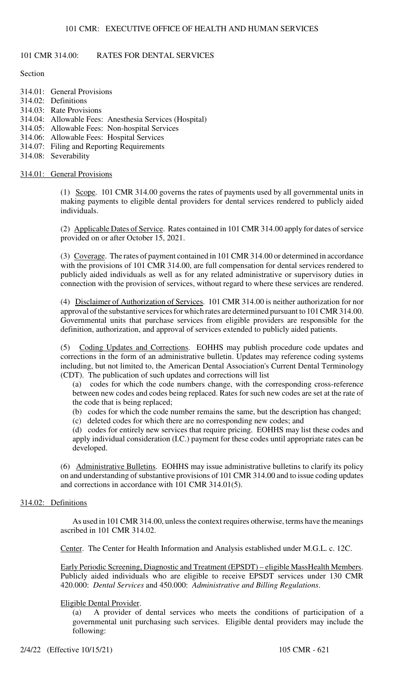## 101 CMR 314.00: RATES FOR DENTAL SERVICES

#### **Section**

- 314.01: General Provisions 314.02: Definitions 314.03: Rate Provisions 314.04: Allowable Fees: Anesthesia Services (Hospital) 314.05: Allowable Fees: Non-hospital Services 314.06: Allowable Fees: Hospital Services
- 314.07: Filing and Reporting Requirements
- 314.08: Severability

#### 314.01: General Provisions

(1) Scope. 101 CMR 314.00 governs the rates of payments used by all governmental units in making payments to eligible dental providers for dental services rendered to publicly aided individuals.

(2) Applicable Dates of Service. Rates contained in 101 CMR 314.00 apply for dates of service provided on or after October 15, 2021.

(3) Coverage. The rates of payment contained in 101 CMR 314.00 or determined in accordance with the provisions of 101 CMR 314.00, are full compensation for dental services rendered to publicly aided individuals as well as for any related administrative or supervisory duties in connection with the provision of services, without regard to where these services are rendered.

(4) Disclaimer of Authorization of Services. 101 CMR 314.00 is neither authorization for nor approval of the substantive services for which rates are determined pursuant to 101 CMR 314.00. Governmental units that purchase services from eligible providers are responsible for the definition, authorization, and approval of services extended to publicly aided patients.

(5) Coding Updates and Corrections. EOHHS may publish procedure code updates and corrections in the form of an administrative bulletin. Updates may reference coding systems including, but not limited to, the American Dental Association's Current Dental Terminology (CDT). The publication of such updates and corrections will list

(a) codes for which the code numbers change, with the corresponding cross-reference between new codes and codes being replaced. Rates for such new codes are set at the rate of the code that is being replaced;

(b) codes for which the code number remains the same, but the description has changed;

(c) deleted codes for which there are no corresponding new codes; and

(d) codes for entirely new services that require pricing. EOHHS may list these codes and apply individual consideration (I.C.) payment for these codes until appropriate rates can be developed.

(6) Administrative Bulletins. EOHHS may issue administrative bulletins to clarify its policy on and understanding of substantive provisions of 101 CMR 314.00 and to issue coding updates and corrections in accordance with 101 CMR 314.01(5).

#### 314.02: Definitions

As used in 101 CMR 314.00, unless the context requires otherwise, terms have the meanings ascribed in 101 CMR 314.02.

Center. The Center for Health Information and Analysis established under M.G.L. c. 12C.

Early Periodic Screening, Diagnostic and Treatment (EPSDT) – eligible MassHealth Members. Publicly aided individuals who are eligible to receive EPSDT services under 130 CMR 420.000: *Dental Services* and 450.000: *Administrative and Billing Regulations*.

#### Eligible Dental Provider.

(a) A provider of dental services who meets the conditions of participation of a governmental unit purchasing such services. Eligible dental providers may include the following: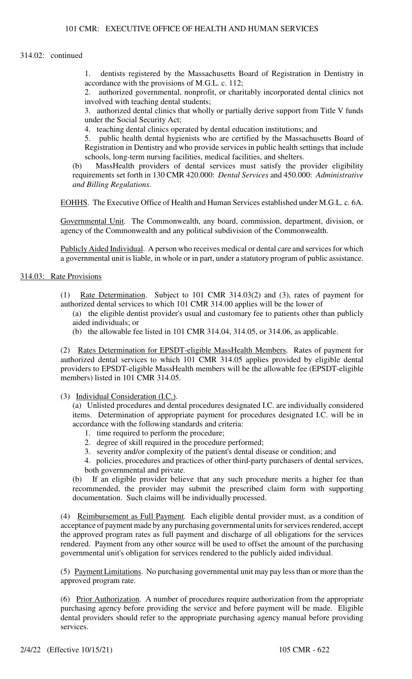1. dentists registered by the Massachusetts Board of Registration in Dentistry in accordance with the provisions of M.G.L. c. 112;

2. authorized governmental, nonprofit, or charitably incorporated dental clinics not involved with teaching dental students;

3. authorized dental clinics that wholly or partially derive support from Title V funds under the Social Security Act;

4. teaching dental clinics operated by dental education institutions; and

5. public health dental hygienists who are certified by the Massachusetts Board of Registration in Dentistry and who provide services in public health settings that include schools, long-term nursing facilities, medical facilities, and shelters.

(b) MassHealth providers of dental services must satisfy the provider eligibility requirements set forth in 130 CMR 420.000: *Dental Services* and 450.000: *Administrative and Billing Regulations*.

EOHHS. The Executive Office of Health and Human Services established under M.G.L. c. 6A.

Governmental Unit. The Commonwealth, any board, commission, department, division, or agency of the Commonwealth and any political subdivision of the Commonwealth.

Publicly Aided Individual. A person who receives medical or dental care and services for which a governmental unit is liable, in whole or in part, under a statutory program of public assistance.

#### 314.03: Rate Provisions

(1) Rate Determination. Subject to 101 CMR 314.03(2) and (3), rates of payment for authorized dental services to which 101 CMR 314.00 applies will be the lower of

(a) the eligible dentist provider's usual and customary fee to patients other than publicly aided individuals; or

(b) the allowable fee listed in 101 CMR 314.04, 314.05, or 314.06, as applicable.

(2) Rates Determination for EPSDT-eligible MassHealth Members. Rates of payment for authorized dental services to which 101 CMR 314.05 applies provided by eligible dental providers to EPSDT-eligible MassHealth members will be the allowable fee (EPSDT-eligible members) listed in 101 CMR 314.05.

(3) Individual Consideration (I.C.).

(a) Unlisted procedures and dental procedures designated I.C. are individually considered items. Determination of appropriate payment for procedures designated I.C. will be in accordance with the following standards and criteria:

- 1. time required to perform the procedure;
- 2. degree of skill required in the procedure performed;
- 3. severity and/or complexity of the patient's dental disease or condition; and
- 4. policies, procedures and practices of other third-party purchasers of dental services, both governmental and private.

(b) If an eligible provider believe that any such procedure merits a higher fee than recommended, the provider may submit the prescribed claim form with supporting documentation. Such claims will be individually processed.

(4) Reimbursement as Full Payment. Each eligible dental provider must, as a condition of acceptance of payment made by any purchasing governmental units for services rendered, accept the approved program rates as full payment and discharge of all obligations for the services rendered. Payment from any other source will be used to offset the amount of the purchasing governmental unit's obligation for services rendered to the publicly aided individual.

(5) Payment Limitations. No purchasing governmental unit may pay less than or more than the approved program rate.

(6) Prior Authorization. A number of procedures require authorization from the appropriate purchasing agency before providing the service and before payment will be made. Eligible dental providers should refer to the appropriate purchasing agency manual before providing services.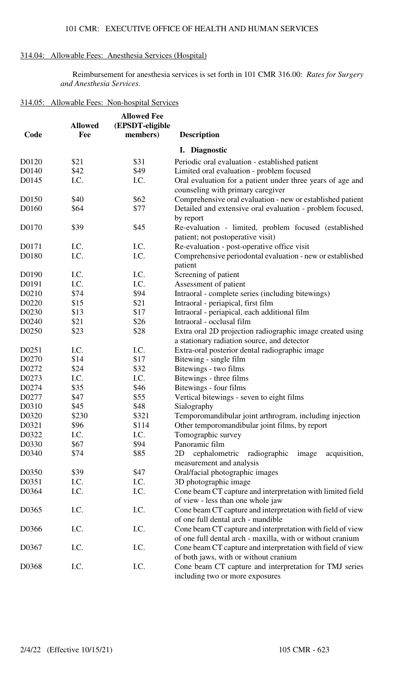## 314.04: Allowable Fees: Anesthesia Services (Hospital)

Reimbursement for anesthesia services is set forth in 101 CMR 316.00: *Rates for Surgery and Anesthesia Services*.

## 314.05: Allowable Fees: Non-hospital Services

| Code  | <b>Allowed</b><br>Fee | <b>Allowed Fee</b><br>(EPSDT-eligible<br>members) | <b>Description</b>                                                                                                       |
|-------|-----------------------|---------------------------------------------------|--------------------------------------------------------------------------------------------------------------------------|
|       |                       |                                                   | I. Diagnostic                                                                                                            |
| D0120 | \$21                  | \$31                                              | Periodic oral evaluation - established patient                                                                           |
| D0140 | \$42                  | \$49                                              | Limited oral evaluation - problem focused                                                                                |
| D0145 | I.C.                  | I.C.                                              | Oral evaluation for a patient under three years of age and<br>counseling with primary caregiver                          |
| D0150 | \$40                  | \$62                                              | Comprehensive oral evaluation - new or established patient                                                               |
| D0160 | \$64                  | \$77                                              | Detailed and extensive oral evaluation - problem focused,<br>by report                                                   |
| D0170 | \$39                  | \$45                                              | Re-evaluation - limited, problem focused (established<br>patient; not postoperative visit)                               |
| D0171 | I.C.                  | I.C.                                              | Re-evaluation - post-operative office visit                                                                              |
| D0180 | I.C.                  | I.C.                                              | Comprehensive periodontal evaluation - new or established<br>patient                                                     |
| D0190 | I.C.                  | I.C.                                              | Screening of patient                                                                                                     |
| D0191 | I.C.                  | I.C.                                              | Assessment of patient                                                                                                    |
| D0210 | \$74                  | \$94                                              | Intraoral - complete series (including bitewings)                                                                        |
| D0220 | \$15                  | \$21                                              | Intraoral - periapical, first film                                                                                       |
| D0230 | \$13                  | \$17                                              | Intraoral - periapical, each additional film                                                                             |
| D0240 | \$21                  | \$26                                              | Intraoral - occlusal film                                                                                                |
| D0250 | \$23                  | \$28                                              | Extra oral 2D projection radiographic image created using<br>a stationary radiation source, and detector                 |
| D0251 | I.C.                  | I.C.                                              | Extra-oral posterior dental radiographic image                                                                           |
| D0270 | \$14                  | \$17                                              | Bitewing - single film                                                                                                   |
| D0272 | \$24                  | \$32                                              | Bitewings - two films                                                                                                    |
| D0273 | I.C.                  | I.C.                                              | Bitewings - three films                                                                                                  |
| D0274 | \$35                  | \$46                                              | Bitewings - four films                                                                                                   |
| D0277 | \$47                  | \$55                                              | Vertical bitewings - seven to eight films                                                                                |
| D0310 | \$45                  | \$48                                              | Sialography                                                                                                              |
| D0320 | \$230                 | \$321                                             | Temporomandibular joint arthrogram, including injection                                                                  |
| D0321 | \$96                  | \$114                                             | Other temporomandibular joint films, by report                                                                           |
| D0322 | I.C.                  | I.C.                                              | Tomographic survey                                                                                                       |
| D0330 | \$67                  | \$94                                              | Panoramic film                                                                                                           |
| D0340 | \$74                  | \$85                                              | cephalometric<br>radiographic<br>acquisition,<br>2D<br>image<br>measurement and analysis                                 |
| D0350 | \$39                  | \$47                                              | Oral/facial photographic images                                                                                          |
| D0351 | I.C.                  | I.C.                                              | 3D photographic image                                                                                                    |
| D0364 | I.C.                  | I.C.                                              | Cone beam CT capture and interpretation with limited field<br>of view - less than one whole jaw                          |
| D0365 | I.C.                  | I.C.                                              | Cone beam CT capture and interpretation with field of view<br>of one full dental arch - mandible                         |
| D0366 | I.C.                  | I.C.                                              | Cone beam CT capture and interpretation with field of view<br>of one full dental arch - maxilla, with or without cranium |
| D0367 | I.C.                  | I.C.                                              | Cone beam CT capture and interpretation with field of view<br>of both jaws, with or without cranium                      |
| D0368 | I.C.                  | I.C.                                              | Cone beam CT capture and interpretation for TMJ series<br>including two or more exposures                                |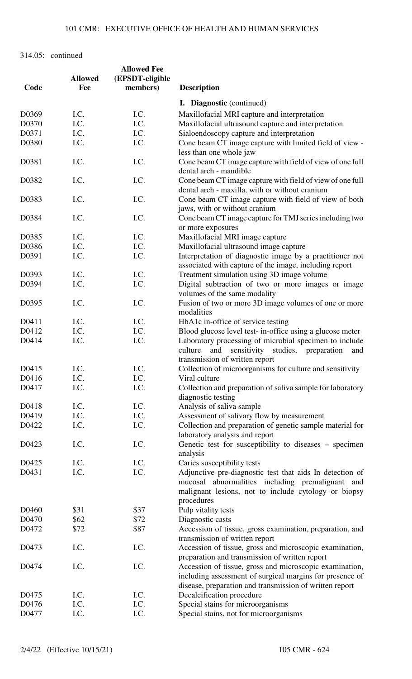|       |                | <b>Allowed Fee</b> |                                                                                                                                                                                |
|-------|----------------|--------------------|--------------------------------------------------------------------------------------------------------------------------------------------------------------------------------|
|       | <b>Allowed</b> | (EPSDT-eligible    |                                                                                                                                                                                |
| Code  | Fee            | members)           | <b>Description</b>                                                                                                                                                             |
|       |                |                    |                                                                                                                                                                                |
|       |                |                    | <b>I.</b> Diagnostic (continued)                                                                                                                                               |
| D0369 | I.C.           | I.C.               | Maxillofacial MRI capture and interpretation                                                                                                                                   |
| D0370 | I.C.           | I.C.               | Maxillofacial ultrasound capture and interpretation                                                                                                                            |
| D0371 | I.C.           | I.C.               | Sialoendoscopy capture and interpretation                                                                                                                                      |
| D0380 | I.C.           | I.C.               | Cone beam CT image capture with limited field of view -                                                                                                                        |
|       |                |                    | less than one whole jaw                                                                                                                                                        |
| D0381 | I.C.           | I.C.               | Cone beam CT image capture with field of view of one full<br>dental arch - mandible                                                                                            |
| D0382 | I.C.           | I.C.               | Cone beam CT image capture with field of view of one full<br>dental arch - maxilla, with or without cranium                                                                    |
| D0383 | I.C.           | I.C.               | Cone beam CT image capture with field of view of both                                                                                                                          |
| D0384 | I.C.           | I.C.               | jaws, with or without cranium<br>Cone beam CT image capture for TMJ series including two                                                                                       |
|       |                |                    | or more exposures                                                                                                                                                              |
| D0385 | I.C.           | I.C.               | Maxillofacial MRI image capture                                                                                                                                                |
| D0386 | I.C.           | I.C.               | Maxillofacial ultrasound image capture                                                                                                                                         |
| D0391 | I.C.           | I.C.               | Interpretation of diagnostic image by a practitioner not                                                                                                                       |
|       |                |                    | associated with capture of the image, including report                                                                                                                         |
| D0393 | I.C.           | I.C.               | Treatment simulation using 3D image volume                                                                                                                                     |
| D0394 | I.C.           | I.C.               | Digital subtraction of two or more images or image<br>volumes of the same modality                                                                                             |
| D0395 | I.C.           | I.C.               | Fusion of two or more 3D image volumes of one or more                                                                                                                          |
|       |                |                    | modalities                                                                                                                                                                     |
| D0411 | I.C.           | I.C.               | HbA1c in-office of service testing                                                                                                                                             |
| D0412 | I.C.           | I.C.               | Blood glucose level test- in-office using a glucose meter                                                                                                                      |
| D0414 | I.C.           | I.C.               | Laboratory processing of microbial specimen to include                                                                                                                         |
|       |                |                    | and<br>sensitivity<br>culture<br>studies, preparation<br>and<br>transmission of written report                                                                                 |
| D0415 | I.C.           | I.C.               | Collection of microorganisms for culture and sensitivity                                                                                                                       |
| D0416 | I.C.           | I.C.               | Viral culture                                                                                                                                                                  |
|       |                |                    |                                                                                                                                                                                |
| D0417 | I.C.           | I.C.               | Collection and preparation of saliva sample for laboratory<br>diagnostic testing                                                                                               |
| D0418 | I.C.           | I.C.               | Analysis of saliva sample                                                                                                                                                      |
| D0419 | I.C.           | I.C.               | Assessment of salivary flow by measurement                                                                                                                                     |
| D0422 | I.C.           | I.C.               | Collection and preparation of genetic sample material for                                                                                                                      |
| D0423 | I.C.           | I.C.               | laboratory analysis and report<br>Genetic test for susceptibility to diseases – specimen                                                                                       |
|       |                |                    | analysis                                                                                                                                                                       |
| D0425 | I.C.           | I.C.               | Caries susceptibility tests                                                                                                                                                    |
| D0431 | I.C.           | I.C.               | Adjunctive pre-diagnostic test that aids In detection of<br>mucosal abnormalities including premalignant and<br>malignant lesions, not to include cytology or biopsy           |
|       |                |                    | procedures                                                                                                                                                                     |
| D0460 | \$31           | \$37               | Pulp vitality tests                                                                                                                                                            |
| D0470 | \$62           | \$72               | Diagnostic casts                                                                                                                                                               |
| D0472 | \$72           | \$87               | Accession of tissue, gross examination, preparation, and                                                                                                                       |
|       |                |                    | transmission of written report                                                                                                                                                 |
| D0473 | I.C.           | I.C.               | Accession of tissue, gross and microscopic examination,<br>preparation and transmission of written report                                                                      |
| D0474 | I.C.           | I.C.               |                                                                                                                                                                                |
|       |                |                    | Accession of tissue, gross and microscopic examination,<br>including assessment of surgical margins for presence of<br>disease, preparation and transmission of written report |
| D0475 | I.C.           | I.C.               | Decalcification procedure                                                                                                                                                      |
| D0476 | I.C.           | I.C.               | Special stains for microorganisms                                                                                                                                              |
| D0477 | I.C.           | I.C.               | Special stains, not for microorganisms                                                                                                                                         |
|       |                |                    |                                                                                                                                                                                |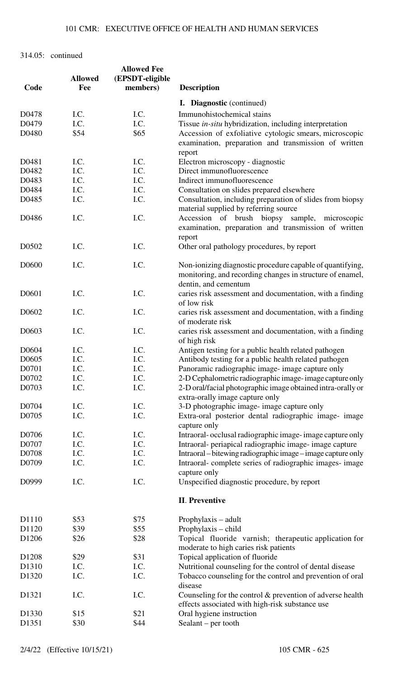|                   |                | <b>Allowed Fee</b> |                                                                                                                |
|-------------------|----------------|--------------------|----------------------------------------------------------------------------------------------------------------|
|                   | <b>Allowed</b> | (EPSDT-eligible    |                                                                                                                |
| Code              | Fee            | members)           | <b>Description</b>                                                                                             |
|                   |                |                    | <b>I.</b> Diagnostic (continued)                                                                               |
|                   |                |                    |                                                                                                                |
| D0478             | I.C.           | I.C.               | Immunohistochemical stains                                                                                     |
| D0479             | I.C.           | I.C.               | Tissue in-situ hybridization, including interpretation                                                         |
| D0480             | \$54           | \$65               | Accession of exfoliative cytologic smears, microscopic                                                         |
|                   |                |                    | examination, preparation and transmission of written<br>report                                                 |
| D0481             | I.C.           | I.C.               | Electron microscopy - diagnostic                                                                               |
| D0482             | I.C.           | I.C.               | Direct immunofluorescence                                                                                      |
| D0483             | I.C.           | I.C.               | Indirect immunofluorescence                                                                                    |
| D0484             | I.C.           | I.C.               |                                                                                                                |
|                   |                |                    | Consultation on slides prepared elsewhere                                                                      |
| D0485             | I.C.           | I.C.               | Consultation, including preparation of slides from biopsy<br>material supplied by referring source             |
| D0486             | I.C.           | I.C.               | Accession of brush biopsy sample, microscopic                                                                  |
|                   |                |                    | examination, preparation and transmission of written                                                           |
|                   |                |                    | report                                                                                                         |
| D0502             | I.C.           | I.C.               | Other oral pathology procedures, by report                                                                     |
| D0600             | I.C.           | I.C.               | Non-ionizing diagnostic procedure capable of quantifying,                                                      |
|                   |                |                    | monitoring, and recording changes in structure of enamel,                                                      |
|                   |                |                    | dentin, and cementum                                                                                           |
| D0601             | I.C.           | I.C.               | caries risk assessment and documentation, with a finding<br>of low risk                                        |
| D <sub>0602</sub> | I.C.           | I.C.               | caries risk assessment and documentation, with a finding                                                       |
|                   |                |                    | of moderate risk                                                                                               |
| D0603             | I.C.           | I.C.               | caries risk assessment and documentation, with a finding<br>of high risk                                       |
| D0604             | I.C.           | I.C.               | Antigen testing for a public health related pathogen                                                           |
| D0605             | I.C.           | I.C.               | Antibody testing for a public health related pathogen                                                          |
| D0701             | I.C.           | I.C.               | Panoramic radiographic image- image capture only                                                               |
| D0702             |                | I.C.               |                                                                                                                |
|                   | I.C.           |                    | 2-D Cephalometric radiographic image-image capture only                                                        |
| D0703             | I.C.           | I.C.               | 2-D oral/facial photographic image obtained intra-orally or<br>extra-orally image capture only                 |
| D0704             | I.C.           | I.C.               | 3-D photographic image- image capture only                                                                     |
| D0705             | I.C.           | I.C.               | Extra-oral posterior dental radiographic image- image<br>capture only                                          |
| D0706             | I.C.           | I.C.               | Intraoral-occlusal radiographic image-image capture only                                                       |
| D0707             | I.C.           | I.C.               | Intraoral- periapical radiographic image- image capture                                                        |
| D0708             | I.C.           | I.C.               | Intraoral – bitewing radiographic image – image capture only                                                   |
|                   |                |                    |                                                                                                                |
| D0709             | I.C.           | I.C.               | Intraoral-complete series of radiographic images-image<br>capture only                                         |
| D0999             | I.C.           | I.C.               | Unspecified diagnostic procedure, by report                                                                    |
|                   |                |                    | <b>II.</b> Preventive                                                                                          |
| D1110             | \$53           | \$75               | Prophylaxis – adult                                                                                            |
| D1120             | \$39           | \$55               | Prophylaxis – child                                                                                            |
| D1206             | \$26           | \$28               | Topical fluoride varnish; therapeutic application for                                                          |
|                   |                |                    | moderate to high caries risk patients                                                                          |
| D1208             | \$29           | \$31               | Topical application of fluoride                                                                                |
| D1310             | I.C.           | I.C.               | Nutritional counseling for the control of dental disease                                                       |
| D <sub>1320</sub> | I.C.           | I.C.               | Tobacco counseling for the control and prevention of oral<br>disease                                           |
| D <sub>1321</sub> | I.C.           | I.C.               | Counseling for the control $&$ prevention of adverse health<br>effects associated with high-risk substance use |
| D1330             | \$15           | \$21               | Oral hygiene instruction                                                                                       |
| D1351             | \$30           | \$44               | Sealant $-$ per tooth                                                                                          |
|                   |                |                    |                                                                                                                |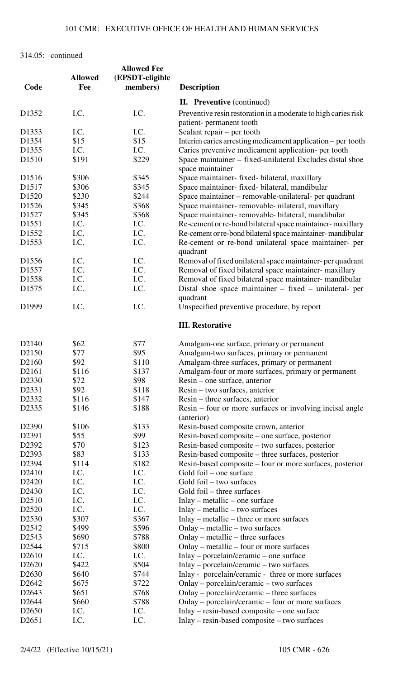|                    |                | <b>Allowed Fee</b> |                                                                              |
|--------------------|----------------|--------------------|------------------------------------------------------------------------------|
|                    | <b>Allowed</b> | (EPSDT-eligible    |                                                                              |
| Code               | Fee            | members)           | <b>Description</b>                                                           |
|                    |                |                    | <b>II.</b> Preventive (continued)                                            |
|                    |                |                    |                                                                              |
| D1352              | I.C.           | I.C.               | Preventive resin restoration in a moderate to high caries risk               |
|                    |                |                    | patient- permanent tooth                                                     |
| D1353              | I.C.           | I.C.               | Sealant repair – per tooth                                                   |
| D1354              | \$15           | \$15               | Interim caries arresting medicament application – per tooth                  |
| D1355              | I.C.           | I.C.               | Caries preventive medicament application- per tooth                          |
| D <sub>1510</sub>  | \$191          | \$229              | Space maintainer - fixed-unilateral Excludes distal shoe<br>space maintainer |
| D <sub>1516</sub>  | \$306          | \$345              | Space maintainer- fixed- bilateral, maxillary                                |
| D1517              | \$306          | \$345              | Space maintainer- fixed- bilateral, mandibular                               |
| D1520              | \$230          | \$244              | Space maintainer – removable-unilateral- per quadrant                        |
| D <sub>1526</sub>  | \$345          | \$368              | Space maintainer-removable-nilateral, maxillary                              |
|                    |                |                    |                                                                              |
| D <sub>1527</sub>  | \$345          | \$368              | Space maintainer- removable- bilateral, mandibular                           |
| D <sub>1551</sub>  | I.C.           | I.C.               | Re-cement or re-bond bilateral space maintainer-maxillary                    |
| D1552              | I.C.           | I.C.               | Re-cement or re-bond bilateral space maintainer-mandibular                   |
| D1553              | I.C.           | I.C.               | Re-cement or re-bond unilateral space maintainer- per<br>quadrant            |
| D <sub>1556</sub>  | I.C.           | I.C.               | Removal of fixed unilateral space maintainer-per quadrant                    |
| D <sub>1557</sub>  | I.C.           | I.C.               | Removal of fixed bilateral space maintainer- maxillary                       |
| D <sub>1558</sub>  | I.C.           | I.C.               | Removal of fixed bilateral space maintainer- mandibular                      |
| D <sub>1575</sub>  | I.C.           | I.C.               | Distal shoe space maintainer $-$ fixed $-$ unilateral- per                   |
|                    |                |                    | quadrant                                                                     |
| D1999              | I.C.           | I.C.               | Unspecified preventive procedure, by report                                  |
|                    |                |                    | <b>III. Restorative</b>                                                      |
|                    |                |                    |                                                                              |
| D <sub>2</sub> 140 | \$62           | \$77               | Amalgam-one surface, primary or permanent                                    |
| D2150              | \$77           | \$95               | Amalgam-two surfaces, primary or permanent                                   |
| D <sub>2160</sub>  | \$92           | \$110              | Amalgam-three surfaces, primary or permanent                                 |
| D <sub>2161</sub>  | \$116          | \$137              | Amalgam-four or more surfaces, primary or permanent                          |
| D2330              | \$72           | \$98               | Resin – one surface, anterior                                                |
| D2331              | \$92           | \$118              | Resin – two surfaces, anterior                                               |
| D2332              | \$116          | \$147              | Resin – three surfaces, anterior                                             |
| D2335              | \$146          | \$188              | Resin – four or more surfaces or involving incisal angle<br>(anterior)       |
| D <sub>2390</sub>  | \$106          | \$133              | Resin-based composite crown, anterior                                        |
| D2391              | \$55           | \$99               | Resin-based composite – one surface, posterior                               |
|                    |                |                    |                                                                              |
| D2392              | \$70           | \$123              | Resin-based composite - two surfaces, posterior                              |
| D2393              | \$83           | \$133              | Resin-based composite – three surfaces, posterior                            |
| D2394              | \$114          | \$182              | Resin-based composite – four or more surfaces, posterior                     |
| D2410              | I.C.           | I.C.               | Gold foil – one surface                                                      |
| D2420              | I.C.           | I.C.               | Gold foil - two surfaces                                                     |
| D2430              | I.C.           | I.C.               | Gold foil – three surfaces                                                   |
| D2510              | I.C.           | I.C.               | Inlay – metallic – one surface                                               |
| D2520              | I.C.           | I.C.               | Inlay – metallic – two surfaces                                              |
| D2530              | \$307          | \$367              | $Inlay - metallic - three or more surfaces$                                  |
| D <sub>2542</sub>  | \$499          | \$596              | Onlay – metallic – two surfaces                                              |
| D2543              | \$690          | \$788              | Onlay – metallic – three surfaces                                            |
| D2544              | \$715          | \$800              | Onlay – metallic – four or more surfaces                                     |
| D <sub>2610</sub>  | I.C.           | I.C.               | $Inlay - porcelain/ceramic - one surface$                                    |
| D <sub>2620</sub>  | \$422          | \$504              | Inlay – porcelain/ceramic – two surfaces                                     |
| D <sub>2630</sub>  | \$640          | \$744              | Inlay - porcelain/ceramic - three or more surfaces                           |
| D <sub>2642</sub>  | \$675          | \$722              | Onlay – porcelain/ceramic – two surfaces                                     |
| D2643              | \$651          | \$768              | Onlay – porcelain/ceramic – three surfaces                                   |
| D2644              | \$660          | \$788              | Onlay - porcelain/ceramic - four or more surfaces                            |
| D <sub>2650</sub>  | I.C.           | I.C.               | Inlay – resin-based composite – one surface                                  |
| D2651              | I.C.           | I.C.               | Inlay – resin-based composite – two surfaces                                 |
|                    |                |                    |                                                                              |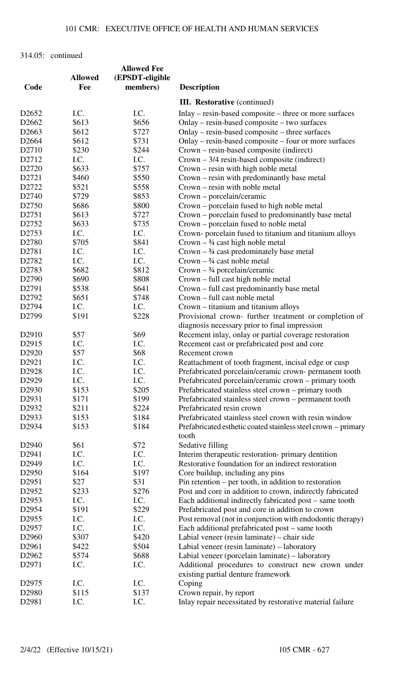|                   |                | <b>Allowed Fee</b> |                                                               |
|-------------------|----------------|--------------------|---------------------------------------------------------------|
|                   | <b>Allowed</b> | (EPSDT-eligible    |                                                               |
| Code              | Fee            | members)           | <b>Description</b>                                            |
|                   |                |                    | <b>III. Restorative</b> (continued)                           |
| D <sub>2652</sub> | I.C.           | I.C.               | Inlay – resin-based composite – three or more surfaces        |
| D <sub>2662</sub> | \$613          | \$656              | Onlay – resin-based composite – two surfaces                  |
| D <sub>2663</sub> | \$612          | \$727              | Onlay – resin-based composite – three surfaces                |
| D2664             | \$612          | \$731              | Onlay – resin-based composite – four or more surfaces         |
| D2710             | \$230          | \$244              | Crown – resin-based composite (indirect)                      |
| D2712             | I.C.           | I.C.               | $Crown - 3/4$ resin-based composite (indirect)                |
| D2720             | \$633          | \$757              | Crown – resin with high noble metal                           |
| D2721             | \$460          | \$550              | Crown – resin with predominantly base metal                   |
| D2722             | \$521          | \$558              | Crown – resin with noble metal                                |
| D2740             | \$729          | \$853              | Crown – porcelain/ceramic                                     |
| D2750             | \$686          | \$800              | Crown – porcelain fused to high noble metal                   |
| D2751             | \$613          | \$727              | Crown – porcelain fused to predominantly base metal           |
| D2752             | \$633          | \$735              | Crown – porcelain fused to noble metal                        |
| D2753             | I.C.           | I.C.               | Crown-porcelain fused to titanium and titanium alloys         |
| D2780             | \$705          | \$841              | Crown $-3/4$ cast high noble metal                            |
| D2781             | I.C.           | I.C.               | Crown $-$ 3/4 cast predominately base metal                   |
| D2782             | I.C.           | I.C.               | Crown $-$ 3/4 cast noble metal                                |
| D2783             | \$682          | \$812              | $Crown - \frac{3}{4} porcelain/ceramic$                       |
| D <sub>2790</sub> | \$690          | \$808              | Crown – full cast high noble metal                            |
| D2791             | \$538          | \$641              | Crown – full cast predominantly base metal                    |
| D2792             | \$651          | \$748              | Crown – full cast noble metal                                 |
| D2794             | I.C.           | I.C.               | Crown – titanium and titanium alloys                          |
| D2799             | \$191          | \$228              | Provisional crown- further treatment or completion of         |
|                   |                |                    | diagnosis necessary prior to final impression                 |
| D <sub>2910</sub> | \$57           | \$69               | Recement inlay, onlay or partial coverage restoration         |
| D2915             | I.C.           | I.C.               | Recement cast or prefabricated post and core                  |
| D <sub>2920</sub> | \$57           | \$68               | Recement crown                                                |
| D2921             | I.C.           | I.C.               | Reattachment of tooth fragment, incisal edge or cusp          |
| D2928             | I.C.           | I.C.               | Prefabricated porcelain/ceramic crown- permanent tooth        |
| D2929             | I.C.           | I.C.               | Prefabricated porcelain/ceramic crown – primary tooth         |
| D2930             | \$153          | \$205              | Prefabricated stainless steel crown – primary tooth           |
| D2931             | \$171          | \$199              | Prefabricated stainless steel crown – permanent tooth         |
| D2932             | \$211          | \$224              | Prefabricated resin crown                                     |
| D2933             | \$153          | \$184              | Prefabricated stainless steel crown with resin window         |
| D2934             | \$153          | \$184              | Prefabricated esthetic coated stainless steel crown – primary |
|                   |                |                    | tooth                                                         |
| D2940             | \$61           | \$72               | Sedative filling                                              |
| D2941             | I.C.           | I.C.               | Interim therapeutic restoration- primary dentition            |
| D2949             | I.C.           | I.C.               | Restorative foundation for an indirect restoration            |
| D <sub>2950</sub> | \$164          | \$197              | Core buildup, including any pins                              |
| D2951             | \$27           | \$31               | $Pin$ retention – per tooth, in addition to restoration       |
| D2952             | \$233          | \$276              | Post and core in addition to crown, indirectly fabricated     |
| D2953             | I.C.           | I.C.               | Each additional indirectly fabricated post - same tooth       |
| D <sub>2954</sub> | \$191          | \$229              | Prefabricated post and core in addition to crown              |
| D2955             | I.C.           | I.C.               | Post removal (not in conjunction with endodontic therapy)     |
| D <sub>2957</sub> | I.C.           | I.C.               | Each additional prefabricated post – same tooth               |
| D2960             | \$307          | \$420              | Labial veneer (resin laminate) – chair side                   |
| D2961             | \$422          | \$504              | Labial veneer (resin laminate) – laboratory                   |
| D2962             | \$574          | \$688              | Labial veneer (porcelain laminate) – laboratory               |
| D2971             | I.C.           | I.C.               | Additional procedures to construct new crown under            |
|                   |                |                    | existing partial denture framework                            |
| D <sub>2975</sub> | I.C.           | I.C.               | Coping                                                        |
| D2980             | \$115          | \$137              | Crown repair, by report                                       |
| D2981             | I.C.           | I.C.               | Inlay repair necessitated by restorative material failure     |
|                   |                |                    |                                                               |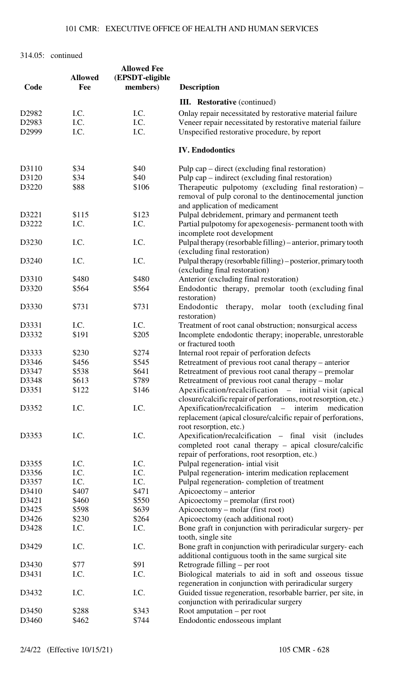| Code  | <b>Allowed</b><br>Fee | <b>Allowed Fee</b><br>(EPSDT-eligible<br>members) | <b>Description</b>                                                                                                                                |
|-------|-----------------------|---------------------------------------------------|---------------------------------------------------------------------------------------------------------------------------------------------------|
|       |                       |                                                   | <b>III.</b> Restorative (continued)                                                                                                               |
| D2982 | I.C.                  | I.C.                                              | Onlay repair necessitated by restorative material failure                                                                                         |
| D2983 | I.C.                  | I.C.                                              | Veneer repair necessitated by restorative material failure                                                                                        |
| D2999 | I.C.                  | I.C.                                              | Unspecified restorative procedure, by report                                                                                                      |
|       |                       |                                                   |                                                                                                                                                   |
|       |                       |                                                   | <b>IV. Endodontics</b>                                                                                                                            |
| D3110 | \$34                  | \$40                                              | Pulp cap $-$ direct (excluding final restoration)                                                                                                 |
| D3120 | \$34                  | \$40                                              | Pulp cap – indirect (excluding final restoration)                                                                                                 |
| D3220 | \$88                  | \$106                                             | Therapeutic pulpotomy (excluding final restoration) -<br>removal of pulp coronal to the dentinocemental junction<br>and application of medicament |
| D3221 | \$115                 | \$123                                             | Pulpal debridement, primary and permanent teeth                                                                                                   |
| D3222 | I.C.                  | I.C.                                              | Partial pulpotomy for apexogenesis- permanent tooth with                                                                                          |
|       |                       |                                                   | incomplete root development                                                                                                                       |
| D3230 | I.C.                  | I.C.                                              | Pulpal therapy (resorbable filling) – anterior, primary tooth                                                                                     |
|       |                       |                                                   | (excluding final restoration)                                                                                                                     |
| D3240 | I.C.                  | I.C.                                              | Pulpal therapy (resorbable filling) – posterior, primary tooth                                                                                    |
|       |                       |                                                   | (excluding final restoration)                                                                                                                     |
| D3310 | \$480                 | \$480                                             | Anterior (excluding final restoration)                                                                                                            |
| D3320 | \$564                 | \$564                                             | Endodontic therapy, premolar tooth (excluding final                                                                                               |
|       |                       |                                                   | restoration)                                                                                                                                      |
| D3330 | \$731                 | \$731                                             | therapy, molar tooth (excluding final<br>Endodontic<br>restoration)                                                                               |
| D3331 | I.C.                  | I.C.                                              | Treatment of root canal obstruction; nonsurgical access                                                                                           |
| D3332 | \$191                 | \$205                                             | Incomplete endodontic therapy; inoperable, unrestorable<br>or fractured tooth                                                                     |
| D3333 | \$230                 | \$274                                             | Internal root repair of perforation defects                                                                                                       |
| D3346 | \$456                 | \$545                                             | Retreatment of previous root canal therapy – anterior                                                                                             |
| D3347 | \$538                 | \$641                                             | Retreatment of previous root canal therapy – premolar                                                                                             |
| D3348 | \$613                 | \$789                                             | Retreatment of previous root canal therapy – molar                                                                                                |
| D3351 | \$122                 | \$146                                             | Apexification/recalcification – initial visit (apical                                                                                             |
|       |                       |                                                   | closure/calcific repair of perforations, root resorption, etc.)                                                                                   |
| D3352 | I.C.                  | I.C.                                              | Apexification/recalcification – interim<br>medication<br>replacement (apical closure/calcific repair of perforations,<br>root resorption, etc.)   |
| D3353 | I.C.                  | I.C.                                              | Apexification/recalcification - final visit (includes                                                                                             |
|       |                       |                                                   | completed root canal therapy – apical closure/calcific<br>repair of perforations, root resorption, etc.)                                          |
| D3355 | I.C.                  | I.C.                                              | Pulpal regeneration- intial visit                                                                                                                 |
| D3356 | I.C.                  | I.C.                                              | Pulpal regeneration-interim medication replacement                                                                                                |
| D3357 | I.C.                  | I.C.                                              | Pulpal regeneration-completion of treatment                                                                                                       |
| D3410 | \$407                 | \$471                                             | Apicoectomy - anterior                                                                                                                            |
| D3421 | \$460                 | \$550                                             | Apicoectomy – premolar (first root)                                                                                                               |
| D3425 | \$598                 | \$639                                             | Apicoectomy – molar (first root)                                                                                                                  |
| D3426 | \$230                 | \$264                                             | Apicoectomy (each additional root)                                                                                                                |
| D3428 | I.C.                  | I.C.                                              | Bone graft in conjunction with periradicular surgery- per                                                                                         |
|       |                       |                                                   | tooth, single site                                                                                                                                |
| D3429 | I.C.                  | I.C.                                              | Bone graft in conjunction with periradicular surgery- each<br>additional contiguous tooth in the same surgical site                               |
| D3430 | \$77                  | \$91                                              | Retrograde filling - per root                                                                                                                     |
| D3431 | I.C.                  | I.C.                                              | Biological materials to aid in soft and osseous tissue<br>regeneration in conjunction with periradicular surgery                                  |
| D3432 | I.C.                  | I.C.                                              | Guided tissue regeneration, resorbable barrier, per site, in<br>conjunction with periradicular surgery                                            |
| D3450 | \$288                 | \$343                                             | Root amputation $-$ per root                                                                                                                      |
| D3460 | \$462                 | \$744                                             | Endodontic endosseous implant                                                                                                                     |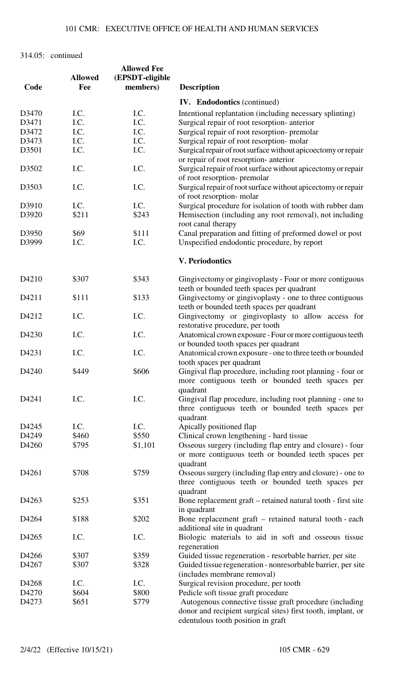| Code  | <b>Allowed</b><br>Fee | <b>Allowed Fee</b><br>(EPSDT-eligible<br>members) | <b>Description</b>                                                                                                            |
|-------|-----------------------|---------------------------------------------------|-------------------------------------------------------------------------------------------------------------------------------|
|       |                       |                                                   | <b>IV.</b> Endodontics (continued)                                                                                            |
| D3470 | I.C.                  | I.C.                                              | Intentional replantation (including necessary splinting)                                                                      |
| D3471 | I.C.                  | I.C.                                              | Surgical repair of root resorption- anterior                                                                                  |
| D3472 | I.C.                  | I.C.                                              | Surgical repair of root resorption- premolar                                                                                  |
| D3473 | I.C.                  | I.C.                                              | Surgical repair of root resorption- molar                                                                                     |
| D3501 | I.C.                  | I.C.                                              | Surgical repair of root surface without apicoectomy or repair                                                                 |
|       |                       |                                                   | or repair of root resorption- anterior                                                                                        |
| D3502 | I.C.                  | I.C.                                              | Surgical repair of root surface without apicectomy or repair<br>of root resorption- premolar                                  |
| D3503 | I.C.                  | I.C.                                              | Surgical repair of root surface without apicectomy or repair<br>of root resorption-molar                                      |
| D3910 | I.C.                  | I.C.                                              | Surgical procedure for isolation of tooth with rubber dam                                                                     |
| D3920 | \$211                 | \$243                                             | Hemisection (including any root removal), not including<br>root canal therapy                                                 |
| D3950 | \$69                  | \$111                                             | Canal preparation and fitting of preformed dowel or post                                                                      |
| D3999 | I.C.                  | I.C.                                              | Unspecified endodontic procedure, by report                                                                                   |
|       |                       |                                                   | <b>V. Periodontics</b>                                                                                                        |
| D4210 | \$307                 | \$343                                             | Gingivectomy or gingivoplasty - Four or more contiguous<br>teeth or bounded teeth spaces per quadrant                         |
| D4211 | \$111                 | \$133                                             | Gingivectomy or gingivoplasty - one to three contiguous<br>teeth or bounded teeth spaces per quadrant                         |
| D4212 | I.C.                  | I.C.                                              | Gingivectomy or gingivoplasty to allow access for<br>restorative procedure, per tooth                                         |
| D4230 | I.C.                  | I.C.                                              | Anatomical crown exposure - Four or more contiguous teeth<br>or bounded tooth spaces per quadrant                             |
| D4231 | I.C.                  | I.C.                                              | Anatomical crown exposure - one to three teeth or bounded<br>tooth spaces per quadrant                                        |
| D4240 | \$449                 | \$606                                             | Gingival flap procedure, including root planning - four or<br>more contiguous teeth or bounded teeth spaces per<br>quadrant   |
| D4241 | I.C.                  | I.C.                                              | Gingival flap procedure, including root planning - one to<br>three contiguous teeth or bounded teeth spaces per<br>quadrant   |
| D4245 | I.C.                  | I.C.                                              | Apically positioned flap                                                                                                      |
| D4249 | \$460                 | \$550                                             | Clinical crown lengthening - hard tissue                                                                                      |
| D4260 | \$795                 | \$1,101                                           | Osseous surgery (including flap entry and closure) - four                                                                     |
|       |                       |                                                   | or more contiguous teeth or bounded teeth spaces per<br>quadrant                                                              |
| D4261 | \$708                 | \$759                                             | Osseous surgery (including flap entry and closure) - one to<br>three contiguous teeth or bounded teeth spaces per<br>quadrant |
| D4263 | \$253                 | \$351                                             | Bone replacement graft – retained natural tooth - first site<br>in quadrant                                                   |
| D4264 | \$188                 | \$202                                             | Bone replacement graft – retained natural tooth - each<br>additional site in quadrant                                         |
| D4265 | I.C.                  | I.C.                                              | Biologic materials to aid in soft and osseous tissue<br>regeneration                                                          |
| D4266 | \$307                 | \$359                                             | Guided tissue regeneration - resorbable barrier, per site                                                                     |
| D4267 | \$307                 | \$328                                             | Guided tissue regeneration - nonresorbable barrier, per site<br>(includes membrane removal)                                   |
| D4268 | I.C.                  | I.C.                                              | Surgical revision procedure, per tooth                                                                                        |
| D4270 | \$604                 | \$800                                             | Pedicle soft tissue graft procedure                                                                                           |
| D4273 | \$651                 | \$779                                             | Autogenous connective tissue graft procedure (including                                                                       |
|       |                       |                                                   | donor and recipient surgical sites) first tooth, implant, or<br>edentulous tooth position in graft                            |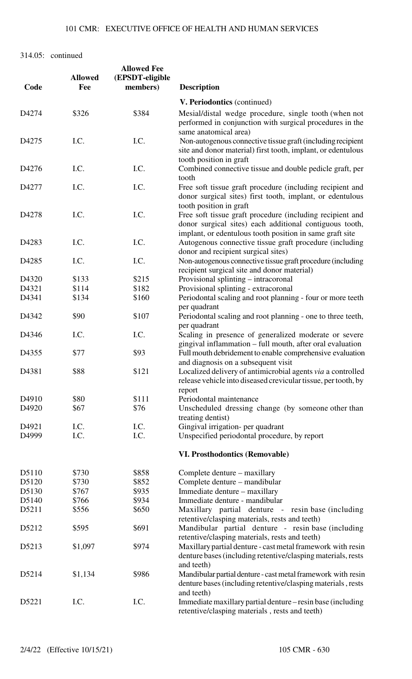| Code  | <b>Allowed</b><br>Fee | <b>Allowed Fee</b><br>(EPSDT-eligible<br>members) | <b>Description</b>                                                                                                                                                               |
|-------|-----------------------|---------------------------------------------------|----------------------------------------------------------------------------------------------------------------------------------------------------------------------------------|
|       |                       |                                                   | V. Periodontics (continued)                                                                                                                                                      |
| D4274 | \$326                 | \$384                                             | Mesial/distal wedge procedure, single tooth (when not<br>performed in conjunction with surgical procedures in the<br>same anatomical area)                                       |
| D4275 | I.C.                  | I.C.                                              | Non-autogenous connective tissue graft (including recipient<br>site and donor material) first tooth, implant, or edentulous<br>tooth position in graft                           |
| D4276 | I.C.                  | I.C.                                              | Combined connective tissue and double pedicle graft, per<br>tooth                                                                                                                |
| D4277 | I.C.                  | I.C.                                              | Free soft tissue graft procedure (including recipient and<br>donor surgical sites) first tooth, implant, or edentulous<br>tooth position in graft                                |
| D4278 | I.C.                  | I.C.                                              | Free soft tissue graft procedure (including recipient and<br>donor surgical sites) each additional contiguous tooth,<br>implant, or edentulous tooth position in same graft site |
| D4283 | I.C.                  | I.C.                                              | Autogenous connective tissue graft procedure (including<br>donor and recipient surgical sites)                                                                                   |
| D4285 | I.C.                  | I.C.                                              | Non-autogenous connective tissue graft procedure (including<br>recipient surgical site and donor material)                                                                       |
| D4320 | \$133                 | \$215                                             | Provisional splinting – intracoronal                                                                                                                                             |
| D4321 | \$114                 | \$182                                             | Provisional splinting - extracoronal                                                                                                                                             |
| D4341 | \$134                 | \$160                                             | Periodontal scaling and root planning - four or more teeth<br>per quadrant                                                                                                       |
| D4342 | \$90                  | \$107                                             | Periodontal scaling and root planning - one to three teeth,<br>per quadrant                                                                                                      |
| D4346 | I.C.                  | I.C.                                              | Scaling in presence of generalized moderate or severe<br>gingival inflammation – full mouth, after oral evaluation                                                               |
| D4355 | \$77                  | \$93                                              | Full mouth debridement to enable comprehensive evaluation<br>and diagnosis on a subsequent visit                                                                                 |
| D4381 | \$88                  | \$121                                             | Localized delivery of antimicrobial agents via a controlled<br>release vehicle into diseased crevicular tissue, per tooth, by<br>report                                          |
| D4910 | \$80                  | \$111                                             | Periodontal maintenance                                                                                                                                                          |
| D4920 | \$67                  | \$76                                              | Unscheduled dressing change (by someone other than<br>treating dentist)                                                                                                          |
| D4921 | I.C.                  | I.C.                                              | Gingival irrigation- per quadrant                                                                                                                                                |
| D4999 | I.C.                  | I.C.                                              | Unspecified periodontal procedure, by report                                                                                                                                     |
|       |                       |                                                   | <b>VI. Prosthodontics (Removable)</b>                                                                                                                                            |
| D5110 | \$730                 | \$858                                             | Complete denture – maxillary                                                                                                                                                     |
| D5120 | \$730                 | \$852                                             | Complete denture - mandibular                                                                                                                                                    |
| D5130 | \$767                 | \$935                                             | Immediate denture – maxillary                                                                                                                                                    |
| D5140 | \$766                 | \$934                                             | Immediate denture - mandibular                                                                                                                                                   |
| D5211 | \$556                 | \$650                                             | Maxillary partial denture - resin base (including<br>retentive/clasping materials, rests and teeth)                                                                              |
| D5212 | \$595                 | \$691                                             | Mandibular partial denture - resin base (including<br>retentive/clasping materials, rests and teeth)                                                                             |
| D5213 | \$1,097               | \$974                                             | Maxillary partial denture - cast metal framework with resin<br>denture bases (including retentive/clasping materials, rests<br>and teeth)                                        |
| D5214 | \$1,134               | \$986                                             | Mandibular partial denture - cast metal framework with resin<br>denture bases (including retentive/clasping materials, rests<br>and teeth)                                       |
| D5221 | I.C.                  | I.C.                                              | Immediate maxillary partial denture – resin base (including<br>retentive/clasping materials, rests and teeth)                                                                    |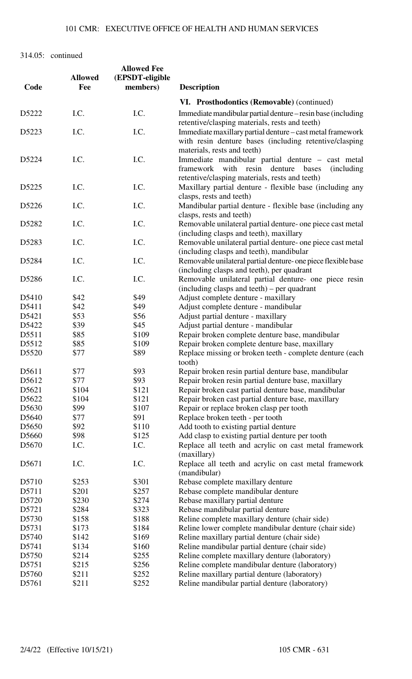|                   |                | <b>Allowed Fee</b> |                                                                                                                                                                                                   |
|-------------------|----------------|--------------------|---------------------------------------------------------------------------------------------------------------------------------------------------------------------------------------------------|
|                   | <b>Allowed</b> | (EPSDT-eligible    |                                                                                                                                                                                                   |
| Code              | Fee            | members)           | <b>Description</b>                                                                                                                                                                                |
|                   |                |                    | VI. Prosthodontics (Removable) (continued)                                                                                                                                                        |
| D5222             | I.C.           | I.C.               | Immediate mandibular partial denture – resin base (including<br>retentive/clasping materials, rests and teeth)                                                                                    |
| D5223             | I.C.           | I.C.               | Immediate maxillary partial denture - cast metal framework<br>with resin denture bases (including retentive/clasping                                                                              |
| D5224             | I.C.           | I.C.               | materials, rests and teeth)<br>Immediate mandibular partial denture - cast metal<br>framework with resin denture<br>bases<br><i>(including)</i><br>retentive/clasping materials, rests and teeth) |
| D5225             | I.C.           | I.C.               | Maxillary partial denture - flexible base (including any<br>clasps, rests and teeth)                                                                                                              |
| D5226             | I.C.           | I.C.               | Mandibular partial denture - flexible base (including any<br>clasps, rests and teeth)                                                                                                             |
| D5282             | I.C.           | I.C.               | Removable unilateral partial denture- one piece cast metal<br>(including clasps and teeth), maxillary                                                                                             |
| D5283             | I.C.           | I.C.               | Removable unilateral partial denture- one piece cast metal<br>(including clasps and teeth), mandibular                                                                                            |
| D5284             | I.C.           | I.C.               | Removable unilateral partial denture- one piece flexible base<br>(including clasps and teeth), per quadrant                                                                                       |
| D5286             | I.C.           | I.C.               | Removable unilateral partial denture- one piece resin<br>(including clasps and teeth) – per quadrant                                                                                              |
| D5410             | \$42           | \$49               | Adjust complete denture - maxillary                                                                                                                                                               |
| D5411             | \$42           | \$49               | Adjust complete denture - mandibular                                                                                                                                                              |
| D5421             | \$53           | \$56               | Adjust partial denture - maxillary                                                                                                                                                                |
| D5422             | \$39           | \$45               | Adjust partial denture - mandibular                                                                                                                                                               |
| D5511             | \$85           | \$109              | Repair broken complete denture base, mandibular                                                                                                                                                   |
| D5512             | \$85           | \$109              | Repair broken complete denture base, maxillary                                                                                                                                                    |
| D5520             | \$77           | \$89               | Replace missing or broken teeth - complete denture (each<br>tooth)                                                                                                                                |
| D5611             | \$77           | \$93               | Repair broken resin partial denture base, mandibular                                                                                                                                              |
| D5612             | \$77           | \$93               | Repair broken resin partial denture base, maxillary                                                                                                                                               |
| D5621             | \$104          | \$121              | Repair broken cast partial denture base, mandibular                                                                                                                                               |
| D <sub>5622</sub> | \$104          | \$121              | Repair broken cast partial denture base, maxillary                                                                                                                                                |
| D5630             | \$99           | \$107              | Repair or replace broken clasp per tooth                                                                                                                                                          |
| D <sub>5640</sub> | \$77           | \$91               | Replace broken teeth - per tooth                                                                                                                                                                  |
| D5650             | \$92           | \$110              | Add tooth to existing partial denture                                                                                                                                                             |
| D <sub>5660</sub> | \$98           | \$125              | Add clasp to existing partial denture per tooth                                                                                                                                                   |
| D <sub>5670</sub> | I.C.           | I.C.               | Replace all teeth and acrylic on cast metal framework<br>(maxillary)                                                                                                                              |
| D <sub>5671</sub> | I.C.           | I.C.               | Replace all teeth and acrylic on cast metal framework<br>(mandibular)                                                                                                                             |
| D5710             | \$253          | \$301              | Rebase complete maxillary denture                                                                                                                                                                 |
| D5711             | \$201          | \$257              | Rebase complete mandibular denture                                                                                                                                                                |
| D5720             | \$230          | \$274              | Rebase maxillary partial denture                                                                                                                                                                  |
| D5721             | \$284          | \$323              | Rebase mandibular partial denture                                                                                                                                                                 |
| D5730             | \$158          | \$188              | Reline complete maxillary denture (chair side)                                                                                                                                                    |
| D5731             | \$173          | \$184              | Reline lower complete mandibular denture (chair side)                                                                                                                                             |
| D5740             | \$142          | \$169              | Reline maxillary partial denture (chair side)                                                                                                                                                     |
| D5741             | \$134          | \$160              | Reline mandibular partial denture (chair side)                                                                                                                                                    |
| D5750             | \$214          | \$255              | Reline complete maxillary denture (laboratory)                                                                                                                                                    |
| D5751             | \$215          | \$256              | Reline complete mandibular denture (laboratory)                                                                                                                                                   |
| D5760             | \$211          | \$252              | Reline maxillary partial denture (laboratory)                                                                                                                                                     |
| D5761             | \$211          | \$252              | Reline mandibular partial denture (laboratory)                                                                                                                                                    |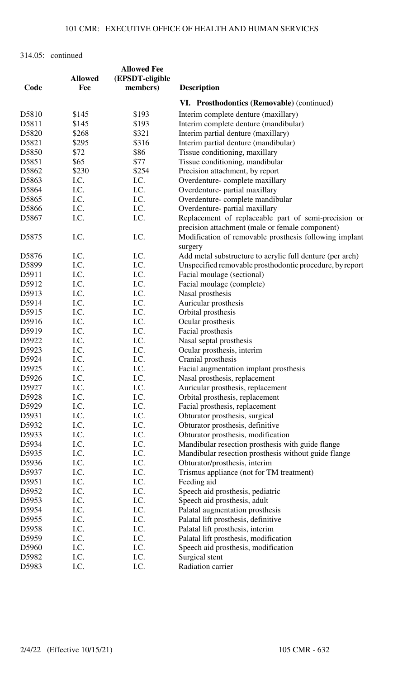| Code  | <b>Allowed</b><br>Fee | <b>Allowed Fee</b><br>(EPSDT-eligible<br>members) | <b>Description</b>                                        |
|-------|-----------------------|---------------------------------------------------|-----------------------------------------------------------|
|       |                       |                                                   | VI. Prosthodontics (Removable) (continued)                |
| D5810 | \$145                 | \$193                                             | Interim complete denture (maxillary)                      |
| D5811 | \$145                 | \$193                                             | Interim complete denture (mandibular)                     |
| D5820 | \$268                 | \$321                                             | Interim partial denture (maxillary)                       |
| D5821 | \$295                 | \$316                                             | Interim partial denture (mandibular)                      |
| D5850 | \$72                  | \$86                                              | Tissue conditioning, maxillary                            |
| D5851 | \$65                  | \$77                                              | Tissue conditioning, mandibular                           |
| D5862 | \$230                 | \$254                                             | Precision attachment, by report                           |
| D5863 | I.C.                  | I.C.                                              | Overdenture-complete maxillary                            |
| D5864 | I.C.                  | I.C.                                              | Overdenture- partial maxillary                            |
| D5865 | I.C.                  | I.C.                                              | Overdenture-complete mandibular                           |
| D5866 | I.C.                  | I.C.                                              | Overdenture- partial maxillary                            |
| D5867 | I.C.                  | I.C.                                              | Replacement of replaceable part of semi-precision or      |
|       |                       |                                                   | precision attachment (male or female component)           |
| D5875 | I.C.                  | I.C.                                              | Modification of removable prosthesis following implant    |
|       |                       |                                                   | surgery                                                   |
| D5876 | I.C.                  | I.C.                                              | Add metal substructure to acrylic full denture (per arch) |
| D5899 | I.C.                  | I.C.                                              | Unspecified removable prosthodontic procedure, by report  |
| D5911 | I.C.                  | I.C.                                              | Facial moulage (sectional)                                |
| D5912 | I.C.                  | I.C.                                              | Facial moulage (complete)                                 |
| D5913 | I.C.                  | I.C.                                              | Nasal prosthesis                                          |
| D5914 | I.C.                  | I.C.                                              | Auricular prosthesis                                      |
| D5915 | I.C.                  | I.C.                                              | Orbital prosthesis                                        |
| D5916 | I.C.                  | I.C.                                              | Ocular prosthesis                                         |
| D5919 | I.C.                  | I.C.                                              | Facial prosthesis                                         |
| D5922 | I.C.                  | I.C.                                              | Nasal septal prosthesis                                   |
| D5923 | I.C.                  | I.C.                                              | Ocular prosthesis, interim                                |
| D5924 | I.C.                  | I.C.                                              | Cranial prosthesis                                        |
| D5925 | I.C.                  | I.C.                                              | Facial augmentation implant prosthesis                    |
| D5926 | I.C.                  | I.C.                                              | Nasal prosthesis, replacement                             |
| D5927 | I.C.                  | I.C.                                              | Auricular prosthesis, replacement                         |
| D5928 | I.C.                  | I.C.                                              | Orbital prosthesis, replacement                           |
| D5929 | I.C.                  | I.C.                                              | Facial prosthesis, replacement                            |
| D5931 | I.C.                  | I.C.                                              | Obturator prosthesis, surgical                            |
| D5932 | I.C.                  | I.C.                                              | Obturator prosthesis, definitive                          |
| D5933 | I.C.                  | I.C.                                              | Obturator prosthesis, modification                        |
| D5934 | I.C.                  | I.C.                                              | Mandibular resection prosthesis with guide flange         |
| D5935 | I.C.                  | I.C.                                              | Mandibular resection prosthesis without guide flange      |
| D5936 | I.C.                  | I.C.                                              | Obturator/prosthesis, interim                             |
| D5937 | I.C.                  | I.C.                                              | Trismus appliance (not for TM treatment)                  |
| D5951 | I.C.                  | I.C.                                              | Feeding aid                                               |
| D5952 | I.C.                  | I.C.                                              | Speech aid prosthesis, pediatric                          |
| D5953 | I.C.                  | I.C.                                              | Speech aid prosthesis, adult                              |
| D5954 | I.C.                  | I.C.                                              | Palatal augmentation prosthesis                           |
| D5955 | I.C.                  | I.C.                                              | Palatal lift prosthesis, definitive                       |
| D5958 | I.C.                  | I.C.                                              | Palatal lift prosthesis, interim                          |
| D5959 | I.C.                  | I.C.                                              | Palatal lift prosthesis, modification                     |
| D5960 | I.C.                  | I.C.                                              | Speech aid prosthesis, modification                       |
| D5982 | I.C.                  | I.C.                                              | Surgical stent                                            |
| D5983 | I.C.                  | I.C.                                              | Radiation carrier                                         |
|       |                       |                                                   |                                                           |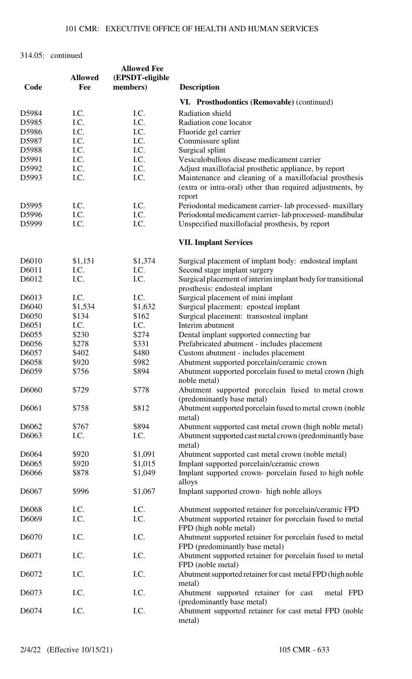| Code              | <b>Allowed</b><br>Fee | <b>Allowed Fee</b><br>(EPSDT-eligible<br>members) | <b>Description</b>                                                                                                            |
|-------------------|-----------------------|---------------------------------------------------|-------------------------------------------------------------------------------------------------------------------------------|
|                   |                       |                                                   | VI. Prosthodontics (Removable) (continued)                                                                                    |
| D5984             | I.C.                  | I.C.                                              | Radiation shield                                                                                                              |
| D5985             | I.C.                  | I.C.                                              | Radiation cone locator                                                                                                        |
| D5986             | I.C.                  | I.C.                                              | Fluoride gel carrier                                                                                                          |
|                   | I.C.                  | I.C.                                              |                                                                                                                               |
| D5987             |                       |                                                   | Commissure splint                                                                                                             |
| D5988             | I.C.                  | I.C.                                              | Surgical splint                                                                                                               |
| D5991             | I.C.                  | I.C.                                              | Vesiculobullous disease medicament carrier                                                                                    |
| D5992             | I.C.                  | I.C.                                              | Adjust maxillofacial prosthetic appliance, by report                                                                          |
| D5993             | I.C.                  | I.C.                                              | Maintenance and cleaning of a maxillofacial prosthesis<br>(extra or intra-oral) other than required adjustments, by<br>report |
| D5995             | I.C.                  | I.C.                                              | Periodontal medicament carrier-lab processed-maxillary                                                                        |
| D5996             | I.C.                  | I.C.                                              | Periodontal medicament carrier-lab processed-mandibular                                                                       |
| D5999             | I.C.                  | I.C.                                              | Unspecified maxillofacial prosthesis, by report                                                                               |
|                   |                       |                                                   | <b>VII. Implant Services</b>                                                                                                  |
| D6010             | \$1,151               | \$1,374                                           | Surgical placement of implant body: endosteal implant                                                                         |
| D6011             | I.C.                  | I.C.                                              | Second stage implant surgery                                                                                                  |
| D6012             | I.C.                  | I.C.                                              | Surgical placement of interim implant body for transitional<br>prosthesis: endosteal implant                                  |
| D6013             | I.C.                  | I.C.                                              | Surgical placement of mini implant                                                                                            |
|                   |                       |                                                   |                                                                                                                               |
| D6040             | \$1,534               | \$1,632                                           | Surgical placement: eposteal implant                                                                                          |
| D6050             | \$134                 | \$162                                             | Surgical placement: transosteal implant                                                                                       |
| D6051             | I.C.                  | I.C.                                              | Interim abutment                                                                                                              |
| D6055             | \$230                 | \$274                                             | Dental implant supported connecting bar                                                                                       |
| D6056             | \$278                 | \$331                                             | Prefabricated abutment - includes placement                                                                                   |
| D6057             | \$402                 | \$480                                             | Custom abutment - includes placement                                                                                          |
| D6058             | \$920                 | \$982                                             | Abutment supported porcelain/ceramic crown                                                                                    |
| D6059             | \$756                 | \$894                                             | Abutment supported porcelain fused to metal crown (high<br>noble metal)                                                       |
| D6060             | \$729                 | \$778                                             | Abutment supported porcelain fused to metal crown<br>(predominantly base metal)                                               |
| D6061             | \$758                 | \$812                                             | Abutment supported porcelain fused to metal crown (noble<br>metal)                                                            |
| D6062             |                       | \$894                                             |                                                                                                                               |
|                   | \$767                 |                                                   | Abutment supported cast metal crown (high noble metal)                                                                        |
| D6063             | I.C.                  | I.C.                                              | Abutment supported cast metal crown (predominantly base<br>metal)                                                             |
| D6064             | \$920                 | \$1,091                                           | Abutment supported cast metal crown (noble metal)                                                                             |
| D6065             | \$920                 | \$1,015                                           | Implant supported porcelain/ceramic crown                                                                                     |
| D6066             | \$878                 | \$1,049                                           | Implant supported crown- porcelain fused to high noble<br>alloys                                                              |
| D6067             | \$996                 | \$1,067                                           | Implant supported crown-high noble alloys                                                                                     |
| D6068             | I.C.                  | I.C.                                              | Abutment supported retainer for porcelain/ceramic FPD                                                                         |
| D6069             | I.C.                  | I.C.                                              | Abutment supported retainer for porcelain fused to metal<br>FPD (high noble metal)                                            |
| D6070             | I.C.                  | I.C.                                              | Abutment supported retainer for porcelain fused to metal<br>FPD (predominantly base metal)                                    |
| D6071             | I.C.                  | I.C.                                              | Abutment supported retainer for porcelain fused to metal<br>FPD (noble metal)                                                 |
| D <sub>6072</sub> | I.C.                  | I.C.                                              | Abutment supported retainer for cast metal FPD (high noble<br>metal)                                                          |
| D6073             | I.C.                  | I.C.                                              | Abutment supported retainer for cast<br>metal FPD<br>(predominantly base metal)                                               |
| D6074             | I.C.                  | I.C.                                              | Abutment supported retainer for cast metal FPD (noble<br>metal)                                                               |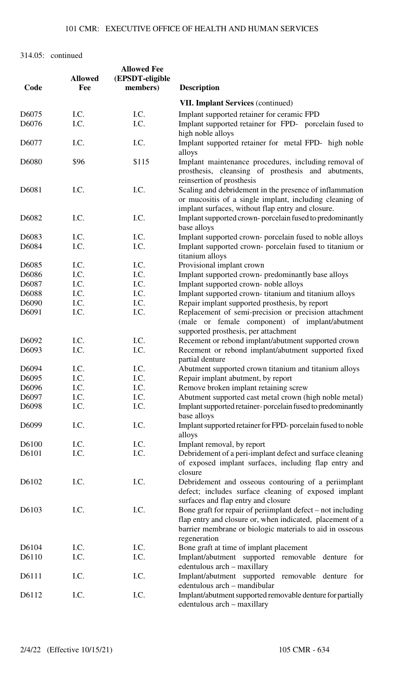| Code  | <b>Allowed</b><br>Fee | <b>Allowed Fee</b><br>(EPSDT-eligible<br>members) | <b>Description</b>                                                                                                                                                                                                   |
|-------|-----------------------|---------------------------------------------------|----------------------------------------------------------------------------------------------------------------------------------------------------------------------------------------------------------------------|
|       |                       |                                                   | <b>VII. Implant Services (continued)</b>                                                                                                                                                                             |
| D6075 | I.C.                  | I.C.                                              | Implant supported retainer for ceramic FPD                                                                                                                                                                           |
| D6076 | I.C.                  | I.C.                                              | Implant supported retainer for FPD- porcelain fused to<br>high noble alloys                                                                                                                                          |
| D6077 | I.C.                  | I.C.                                              | Implant supported retainer for metal FPD- high noble<br>alloys                                                                                                                                                       |
| D6080 | \$96                  | \$115                                             | Implant maintenance procedures, including removal of<br>prosthesis, cleansing of prosthesis and abutments,<br>reinsertion of prosthesis                                                                              |
| D6081 | I.C.                  | I.C.                                              | Scaling and debridement in the presence of inflammation<br>or mucositis of a single implant, including cleaning of<br>implant surfaces, without flap entry and closure.                                              |
| D6082 | I.C.                  | I.C.                                              | Implant supported crown-porcelain fused to predominantly<br>base alloys                                                                                                                                              |
| D6083 | I.C.                  | I.C.                                              | Implant supported crown- porcelain fused to noble alloys                                                                                                                                                             |
| D6084 | I.C.                  | I.C.                                              | Implant supported crown- porcelain fused to titanium or<br>titanium alloys                                                                                                                                           |
| D6085 | I.C.                  | I.C.                                              | Provisional implant crown                                                                                                                                                                                            |
| D6086 | I.C.                  | I.C.                                              | Implant supported crown- predominantly base alloys                                                                                                                                                                   |
| D6087 | I.C.                  | I.C.                                              | Implant supported crown- noble alloys                                                                                                                                                                                |
| D6088 | I.C.                  | I.C.                                              | Implant supported crown-titanium and titanium alloys                                                                                                                                                                 |
| D6090 | I.C.                  | I.C.                                              | Repair implant supported prosthesis, by report                                                                                                                                                                       |
| D6091 | I.C.                  | I.C.                                              | Replacement of semi-precision or precision attachment                                                                                                                                                                |
|       |                       |                                                   | (male or female component) of implant/abutment<br>supported prosthesis, per attachment                                                                                                                               |
| D6092 | I.C.                  | I.C.                                              | Recement or rebond implant/abutment supported crown                                                                                                                                                                  |
| D6093 | I.C.                  | I.C.                                              | Recement or rebond implant/abutment supported fixed<br>partial denture                                                                                                                                               |
| D6094 | I.C.                  | I.C.                                              | Abutment supported crown titanium and titanium alloys                                                                                                                                                                |
| D6095 | I.C.                  | I.C.                                              | Repair implant abutment, by report                                                                                                                                                                                   |
| D6096 | I.C.                  | I.C.                                              | Remove broken implant retaining screw                                                                                                                                                                                |
| D6097 | I.C.                  | I.C.                                              | Abutment supported cast metal crown (high noble metal)                                                                                                                                                               |
| D6098 | I.C.                  | I.C.                                              | Implant supported retainer-porcelain fused to predominantly<br>base alloys                                                                                                                                           |
| D6099 | I.C.                  | I.C.                                              | Implant supported retainer for FPD-porcelain fused to noble<br>alloys                                                                                                                                                |
| D6100 | I.C.                  | I.C.                                              | Implant removal, by report                                                                                                                                                                                           |
| D6101 | I.C.                  | I.C.                                              | Debridement of a peri-implant defect and surface cleaning<br>of exposed implant surfaces, including flap entry and<br>closure                                                                                        |
| D6102 | I.C.                  | I.C.                                              | Debridement and osseous contouring of a periimplant<br>defect; includes surface cleaning of exposed implant<br>surfaces and flap entry and closure                                                                   |
| D6103 | I.C.                  | I.C.                                              | Bone graft for repair of periimplant $\text{defect} - \text{not including}$<br>flap entry and closure or, when indicated, placement of a<br>barrier membrane or biologic materials to aid in osseous<br>regeneration |
| D6104 | I.C.                  | I.C.                                              | Bone graft at time of implant placement                                                                                                                                                                              |
| D6110 | I.C.                  | I.C.                                              | Implant/abutment supported removable denture<br>for<br>edentulous arch - maxillary                                                                                                                                   |
| D6111 | I.C.                  | I.C.                                              | Implant/abutment supported removable denture for<br>edentulous arch - mandibular                                                                                                                                     |
| D6112 | I.C.                  | I.C.                                              | Implant/abutment supported removable denture for partially<br>edentulous arch - maxillary                                                                                                                            |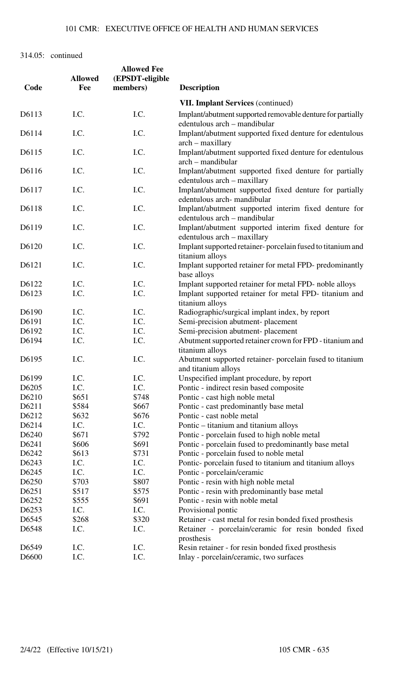| Code  | <b>Allowed</b><br>Fee | <b>Allowed Fee</b><br>(EPSDT-eligible<br>members) | <b>Description</b>                                                                                           |
|-------|-----------------------|---------------------------------------------------|--------------------------------------------------------------------------------------------------------------|
|       |                       |                                                   |                                                                                                              |
|       |                       |                                                   | <b>VII. Implant Services (continued)</b>                                                                     |
| D6113 | I.C.                  | I.C.                                              | Implant/abutment supported removable denture for partially<br>edentulous arch - mandibular                   |
| D6114 | I.C.                  | I.C.                                              | Implant/abutment supported fixed denture for edentulous<br>$arch - maxillary$                                |
| D6115 | I.C.                  | I.C.                                              | Implant/abutment supported fixed denture for edentulous<br>arch – mandibular                                 |
| D6116 | I.C.                  | I.C.                                              | Implant/abutment supported fixed denture for partially<br>edentulous arch – maxillary                        |
| D6117 | I.C.                  | I.C.                                              | Implant/abutment supported fixed denture for partially<br>edentulous arch-mandibular                         |
| D6118 | I.C.                  | I.C.                                              | Implant/abutment supported interim fixed denture for<br>edentulous arch – mandibular                         |
| D6119 | I.C.                  | I.C.                                              | Implant/abutment supported interim fixed denture for                                                         |
| D6120 | I.C.                  | I.C.                                              | edentulous arch - maxillary<br>Implant supported retainer-porcelain fused to titanium and<br>titanium alloys |
| D6121 | I.C.                  | I.C.                                              | Implant supported retainer for metal FPD- predominantly<br>base alloys                                       |
| D6122 | I.C.                  | I.C.                                              | Implant supported retainer for metal FPD- noble alloys                                                       |
| D6123 | I.C.                  | I.C.                                              | Implant supported retainer for metal FPD- titanium and<br>titanium alloys                                    |
| D6190 | I.C.                  | I.C.                                              | Radiographic/surgical implant index, by report                                                               |
| D6191 | I.C.                  | I.C.                                              | Semi-precision abutment- placement                                                                           |
| D6192 | I.C.                  | I.C.                                              | Semi-precision abutment-placement                                                                            |
| D6194 | I.C.                  | I.C.                                              | Abutment supported retainer crown for FPD - titanium and<br>titanium alloys                                  |
| D6195 | I.C.                  | I.C.                                              | Abutment supported retainer-porcelain fused to titanium<br>and titanium alloys                               |
| D6199 | I.C.                  | I.C.                                              | Unspecified implant procedure, by report                                                                     |
| D6205 | I.C.                  | I.C.                                              | Pontic - indirect resin based composite                                                                      |
| D6210 | \$651                 | \$748                                             | Pontic - cast high noble metal                                                                               |
| D6211 | \$584                 | \$667                                             | Pontic - cast predominantly base metal                                                                       |
| D6212 | \$632                 | \$676                                             | Pontic - cast noble metal                                                                                    |
| D6214 | I.C.                  | I.C.                                              | Pontic – titanium and titanium alloys                                                                        |
| D6240 | \$671                 | \$792                                             | Pontic - porcelain fused to high noble metal                                                                 |
| D6241 | \$606                 | \$691                                             | Pontic - porcelain fused to predominantly base metal                                                         |
| D6242 | \$613                 | \$731                                             | Pontic - porcelain fused to noble metal                                                                      |
| D6243 | I.C.                  | I.C.                                              | Pontic- porcelain fused to titanium and titanium alloys                                                      |
| D6245 | I.C.                  | I.C.                                              | Pontic - porcelain/ceramic                                                                                   |
| D6250 | \$703                 | \$807                                             | Pontic - resin with high noble metal                                                                         |
| D6251 | \$517                 | \$575                                             | Pontic - resin with predominantly base metal                                                                 |
| D6252 | \$555                 | \$691                                             | Pontic - resin with noble metal                                                                              |
| D6253 | I.C.                  | I.C.                                              | Provisional pontic                                                                                           |
| D6545 | \$268                 | \$320                                             | Retainer - cast metal for resin bonded fixed prosthesis                                                      |
| D6548 | I.C.                  | I.C.                                              | Retainer - porcelain/ceramic for resin bonded fixed<br>prosthesis                                            |
| D6549 | I.C.                  | I.C.                                              | Resin retainer - for resin bonded fixed prosthesis                                                           |
| D6600 | I.C.                  | I.C.                                              | Inlay - porcelain/ceramic, two surfaces                                                                      |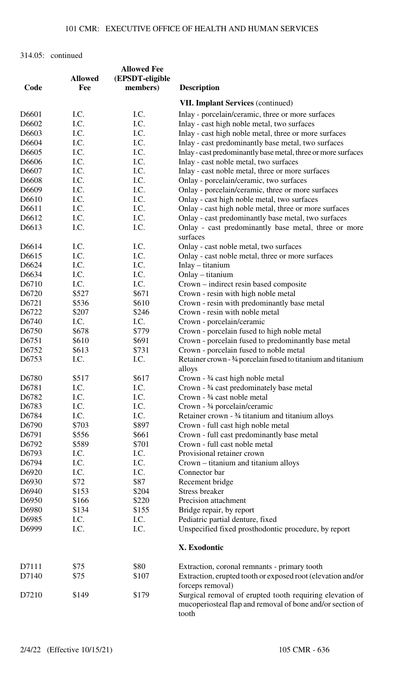|       |                       | <b>Allowed Fee</b> |                                                                                                                                |
|-------|-----------------------|--------------------|--------------------------------------------------------------------------------------------------------------------------------|
| Code  | <b>Allowed</b><br>Fee | (EPSDT-eligible    |                                                                                                                                |
|       |                       | members)           | <b>Description</b>                                                                                                             |
|       |                       |                    | <b>VII. Implant Services (continued)</b>                                                                                       |
| D6601 | I.C.                  | I.C.               | Inlay - porcelain/ceramic, three or more surfaces                                                                              |
| D6602 | I.C.                  | I.C.               | Inlay - cast high noble metal, two surfaces                                                                                    |
| D6603 | I.C.                  | I.C.               | Inlay - cast high noble metal, three or more surfaces                                                                          |
| D6604 | I.C.                  | I.C.               | Inlay - cast predominantly base metal, two surfaces                                                                            |
| D6605 | I.C.                  | I.C.               | Inlay - cast predominantly base metal, three or more surfaces                                                                  |
| D6606 | I.C.                  | I.C.               | Inlay - cast noble metal, two surfaces                                                                                         |
| D6607 | I.C.                  | I.C.               | Inlay - cast noble metal, three or more surfaces                                                                               |
| D6608 | I.C.                  | I.C.               | Onlay - porcelain/ceramic, two surfaces                                                                                        |
| D6609 | I.C.                  | I.C.               | Onlay - porcelain/ceramic, three or more surfaces                                                                              |
| D6610 | I.C.                  | I.C.               | Onlay - cast high noble metal, two surfaces                                                                                    |
| D6611 | I.C.                  | I.C.               | Onlay - cast high noble metal, three or more surfaces                                                                          |
| D6612 | I.C.                  | I.C.               | Onlay - cast predominantly base metal, two surfaces                                                                            |
| D6613 | I.C.                  | I.C.               | Onlay - cast predominantly base metal, three or more<br>surfaces                                                               |
| D6614 | I.C.                  | I.C.               | Onlay - cast noble metal, two surfaces                                                                                         |
| D6615 | I.C.                  | I.C.               | Onlay - cast noble metal, three or more surfaces                                                                               |
| D6624 | I.C.                  | I.C.               | Inlay – titanium                                                                                                               |
| D6634 | I.C.                  | I.C.               | Onlay - titanium                                                                                                               |
| D6710 | I.C.                  | I.C.               | Crown – indirect resin based composite                                                                                         |
| D6720 | \$527                 | \$671              | Crown - resin with high noble metal                                                                                            |
| D6721 | \$536                 | \$610              | Crown - resin with predominantly base metal                                                                                    |
| D6722 | \$207                 | \$246              | Crown - resin with noble metal                                                                                                 |
| D6740 | I.C.                  | I.C.               | Crown - porcelain/ceramic                                                                                                      |
| D6750 | \$678                 | \$779              | Crown - porcelain fused to high noble metal                                                                                    |
| D6751 | \$610                 | \$691              | Crown - porcelain fused to predominantly base metal                                                                            |
| D6752 | \$613                 | \$731              | Crown - porcelain fused to noble metal                                                                                         |
| D6753 | I.C.                  | I.C.               | Retainer crown - 3/4 porcelain fused to titanium and titanium                                                                  |
|       |                       |                    | alloys                                                                                                                         |
| D6780 | \$517                 | \$617              | Crown $-3/4$ cast high noble metal                                                                                             |
| D6781 | I.C.                  | I.C.               | Crown - 3⁄4 cast predominately base metal                                                                                      |
| D6782 | I.C.                  | I.C.               | Crown - 3/4 cast noble metal                                                                                                   |
| D6783 | I.C.                  | I.C.               | Crown - 3/4 porcelain/ceramic                                                                                                  |
| D6784 | I.C.                  | I.C.               | Retainer crown - 3⁄4 titanium and titanium alloys                                                                              |
| D6790 | \$703                 | \$897              | Crown - full cast high noble metal                                                                                             |
| D6791 | \$556                 | \$661              | Crown - full cast predominantly base metal                                                                                     |
| D6792 | \$589                 | \$701              | Crown - full cast noble metal                                                                                                  |
| D6793 | I.C.                  | I.C.               | Provisional retainer crown                                                                                                     |
| D6794 | I.C.                  | I.C.               | Crown – titanium and titanium alloys                                                                                           |
| D6920 | I.C.                  | I.C.               | Connector bar                                                                                                                  |
| D6930 | \$72                  | \$87               | Recement bridge                                                                                                                |
| D6940 | \$153                 | \$204              | <b>Stress breaker</b>                                                                                                          |
| D6950 | \$166                 | \$220              | Precision attachment                                                                                                           |
| D6980 | \$134                 | \$155              | Bridge repair, by report                                                                                                       |
| D6985 | I.C.                  | I.C.               | Pediatric partial denture, fixed                                                                                               |
| D6999 | I.C.                  | I.C.               | Unspecified fixed prosthodontic procedure, by report                                                                           |
|       |                       |                    | X. Exodontic                                                                                                                   |
| D7111 | \$75                  | \$80               | Extraction, coronal remnants - primary tooth                                                                                   |
| D7140 | \$75                  | \$107              | Extraction, erupted tooth or exposed root (elevation and/or<br>forceps removal)                                                |
| D7210 | \$149                 | \$179              | Surgical removal of erupted tooth requiring elevation of<br>mucoperiosteal flap and removal of bone and/or section of<br>tooth |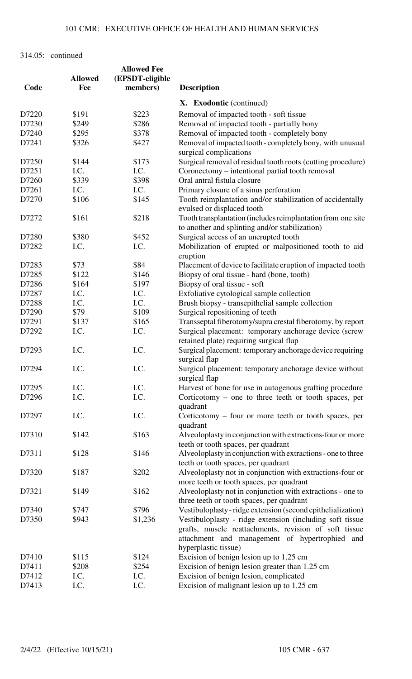|       |                | <b>Allowed Fee</b> |                                                                                                                                                                                             |
|-------|----------------|--------------------|---------------------------------------------------------------------------------------------------------------------------------------------------------------------------------------------|
|       | <b>Allowed</b> | (EPSDT-eligible    |                                                                                                                                                                                             |
| Code  | Fee            | members)           | <b>Description</b>                                                                                                                                                                          |
|       |                |                    | X. Exodontic (continued)                                                                                                                                                                    |
| D7220 | \$191          | \$223              | Removal of impacted tooth - soft tissue                                                                                                                                                     |
| D7230 | \$249          | \$286              | Removal of impacted tooth - partially bony                                                                                                                                                  |
| D7240 | \$295          | \$378              | Removal of impacted tooth - completely bony                                                                                                                                                 |
| D7241 | \$326          | \$427              | Removal of impacted tooth - completely bony, with unusual                                                                                                                                   |
|       |                |                    | surgical complications                                                                                                                                                                      |
| D7250 | \$144          | \$173              | Surgical removal of residual tooth roots (cutting procedure)                                                                                                                                |
| D7251 | I.C.           | I.C.               | Coronectomy - intentional partial tooth removal                                                                                                                                             |
| D7260 | \$339          | \$398              | Oral antral fistula closure                                                                                                                                                                 |
| D7261 | I.C.           | I.C.               | Primary closure of a sinus perforation                                                                                                                                                      |
| D7270 | \$106          | \$145              | Tooth reimplantation and/or stabilization of accidentally                                                                                                                                   |
|       |                |                    | evulsed or displaced tooth                                                                                                                                                                  |
| D7272 | \$161          | \$218              | Tooth transplantation (includes reimplantation from one site<br>to another and splinting and/or stabilization)                                                                              |
| D7280 | \$380          | \$452              | Surgical access of an unerupted tooth                                                                                                                                                       |
| D7282 | I.C.           | I.C.               | Mobilization of erupted or malpositioned tooth to aid<br>eruption                                                                                                                           |
|       |                |                    |                                                                                                                                                                                             |
| D7283 | \$73           | \$84               | Placement of device to facilitate eruption of impacted tooth                                                                                                                                |
| D7285 | \$122          | \$146              | Biopsy of oral tissue - hard (bone, tooth)                                                                                                                                                  |
| D7286 | \$164          | \$197              | Biopsy of oral tissue - soft                                                                                                                                                                |
| D7287 | I.C.           | I.C.               | Exfoliative cytological sample collection                                                                                                                                                   |
| D7288 | I.C.           | I.C.               | Brush biopsy - transepithelial sample collection                                                                                                                                            |
| D7290 | \$79           | \$109              | Surgical repositioning of teeth                                                                                                                                                             |
| D7291 | \$137          | \$165              | Transseptal fiberotomy/supra crestal fiberotomy, by report                                                                                                                                  |
| D7292 | I.C.           | I.C.               | Surgical placement: temporary anchorage device (screw<br>retained plate) requiring surgical flap                                                                                            |
| D7293 | I.C.           | I.C.               | Surgical placement: temporary anchorage device requiring<br>surgical flap                                                                                                                   |
| D7294 | I.C.           | I.C.               | Surgical placement: temporary anchorage device without<br>surgical flap                                                                                                                     |
| D7295 | I.C.           | I.C.               | Harvest of bone for use in autogenous grafting procedure                                                                                                                                    |
| D7296 | I.C.           | I.C.               | Corticotomy – one to three teeth or tooth spaces, per                                                                                                                                       |
|       |                |                    | quadrant                                                                                                                                                                                    |
| D7297 | I.C.           | I.C.               | Corticotomy – four or more teeth or tooth spaces, per<br>quadrant                                                                                                                           |
| D7310 | \$142          | \$163              | Alveoloplasty in conjunction with extractions-four or more<br>teeth or tooth spaces, per quadrant                                                                                           |
| D7311 | \$128          | \$146              | Alveoloplasty in conjunction with extractions - one to three<br>teeth or tooth spaces, per quadrant                                                                                         |
| D7320 | \$187          | \$202              | Alveoloplasty not in conjunction with extractions-four or<br>more teeth or tooth spaces, per quadrant                                                                                       |
| D7321 | \$149          | \$162              | Alveoloplasty not in conjunction with extractions - one to<br>three teeth or tooth spaces, per quadrant                                                                                     |
| D7340 | \$747          | \$796              | Vestibuloplasty - ridge extension (second epithelialization)                                                                                                                                |
|       |                |                    |                                                                                                                                                                                             |
| D7350 | \$943          | \$1,236            | Vestibuloplasty - ridge extension (including soft tissue<br>grafts, muscle reattachments, revision of soft tissue<br>attachment and management of hypertrophied and<br>hyperplastic tissue) |
| D7410 | \$115          | \$124              | Excision of benign lesion up to 1.25 cm                                                                                                                                                     |
| D7411 | \$208          | \$254              | Excision of benign lesion greater than 1.25 cm                                                                                                                                              |
| D7412 | I.C.           | I.C.               | Excision of benign lesion, complicated                                                                                                                                                      |
|       |                |                    |                                                                                                                                                                                             |
| D7413 | I.C.           | I.C.               | Excision of malignant lesion up to 1.25 cm                                                                                                                                                  |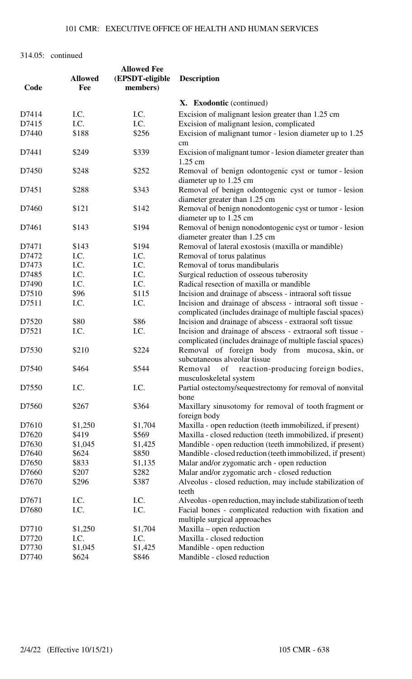| Code  | <b>Allowed</b><br>Fee | <b>Allowed Fee</b><br>(EPSDT-eligible<br>members) | <b>Description</b>                                                                                                       |
|-------|-----------------------|---------------------------------------------------|--------------------------------------------------------------------------------------------------------------------------|
|       |                       |                                                   | X. Exodontic (continued)                                                                                                 |
| D7414 | I.C.                  | I.C.                                              | Excision of malignant lesion greater than 1.25 cm                                                                        |
| D7415 | I.C.                  | I.C.                                              | Excision of malignant lesion, complicated                                                                                |
| D7440 | \$188                 | \$256                                             | Excision of malignant tumor - lesion diameter up to 1.25<br>cm                                                           |
| D7441 | \$249                 | \$339                                             | Excision of malignant tumor - lesion diameter greater than<br>1.25 cm                                                    |
| D7450 | \$248                 | \$252                                             | Removal of benign odontogenic cyst or tumor - lesion<br>diameter up to 1.25 cm                                           |
| D7451 | \$288                 | \$343                                             | Removal of benign odontogenic cyst or tumor - lesion<br>diameter greater than 1.25 cm                                    |
| D7460 | \$121                 | \$142                                             | Removal of benign nonodontogenic cyst or tumor - lesion<br>diameter up to 1.25 cm                                        |
| D7461 | \$143                 | \$194                                             | Removal of benign nonodontogenic cyst or tumor - lesion                                                                  |
|       |                       |                                                   | diameter greater than 1.25 cm                                                                                            |
| D7471 | \$143                 | \$194                                             | Removal of lateral exostosis (maxilla or mandible)                                                                       |
| D7472 | I.C.                  | I.C.                                              | Removal of torus palatinus                                                                                               |
| D7473 | I.C.                  | I.C.                                              | Removal of torus mandibularis                                                                                            |
| D7485 | I.C.                  | I.C.                                              | Surgical reduction of osseous tuberosity                                                                                 |
| D7490 | I.C.                  | I.C.                                              | Radical resection of maxilla or mandible                                                                                 |
| D7510 | \$96                  | \$115                                             | Incision and drainage of abscess - intraoral soft tissue                                                                 |
| D7511 | I.C.                  | I.C.                                              | Incision and drainage of abscess - intraoral soft tissue -<br>complicated (includes drainage of multiple fascial spaces) |
| D7520 | \$80                  | \$86                                              | Incision and drainage of abscess - extraoral soft tissue                                                                 |
| D7521 | I.C.                  | I.C.                                              | Incision and drainage of abscess - extraoral soft tissue -<br>complicated (includes drainage of multiple fascial spaces) |
| D7530 | \$210                 | \$224                                             | Removal of foreign body from mucosa, skin, or<br>subcutaneous alveolar tissue                                            |
| D7540 | \$464                 | \$544                                             | of reaction-producing foreign bodies,<br>Removal<br>musculoskeletal system                                               |
| D7550 | I.C.                  | I.C.                                              | Partial ostectomy/sequestrectomy for removal of nonvital<br>bone                                                         |
| D7560 | \$267                 | \$364                                             | Maxillary sinusotomy for removal of tooth fragment or<br>foreign body                                                    |
| D7610 | \$1,250               | \$1,704                                           | Maxilla - open reduction (teeth immobilized, if present)                                                                 |
| D7620 | \$419                 | \$569                                             | Maxilla - closed reduction (teeth immobilized, if present)                                                               |
| D7630 | \$1,045               | \$1,425                                           | Mandible - open reduction (teeth immobilized, if present)                                                                |
| D7640 | \$624                 | \$850                                             | Mandible - closed reduction (teeth immobilized, if present)                                                              |
| D7650 | \$833                 | \$1,135                                           | Malar and/or zygomatic arch - open reduction                                                                             |
| D7660 | \$207                 | \$282                                             | Malar and/or zygomatic arch - closed reduction                                                                           |
| D7670 | \$296                 | \$387                                             | Alveolus - closed reduction, may include stabilization of<br>teeth                                                       |
| D7671 | I.C.                  | I.C.                                              | Alveolus - open reduction, may include stabilization of teeth                                                            |
| D7680 | I.C.                  | I.C.                                              | Facial bones - complicated reduction with fixation and                                                                   |
| D7710 | \$1,250               | \$1,704                                           | multiple surgical approaches<br>Maxilla – open reduction                                                                 |
| D7720 | I.C.                  | I.C.                                              | Maxilla - closed reduction                                                                                               |
| D7730 | \$1,045               | \$1,425                                           | Mandible - open reduction                                                                                                |
| D7740 | \$624                 | \$846                                             | Mandible - closed reduction                                                                                              |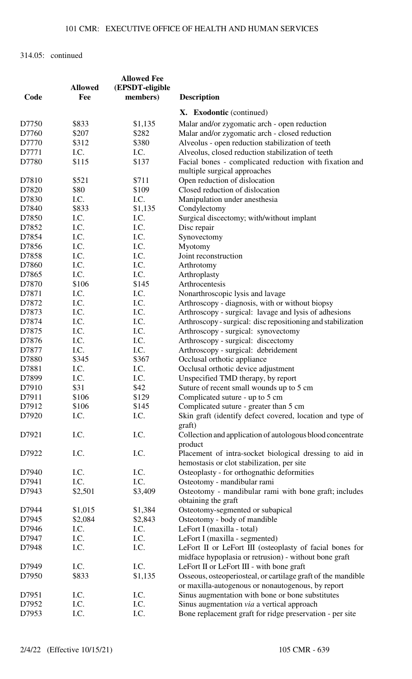|       |                | <b>Allowed Fee</b> |                                                                              |
|-------|----------------|--------------------|------------------------------------------------------------------------------|
|       | <b>Allowed</b> | (EPSDT-eligible    |                                                                              |
| Code  | Fee            | members)           | <b>Description</b>                                                           |
|       |                |                    | X. Exodontic (continued)                                                     |
| D7750 | \$833          | \$1,135            | Malar and/or zygomatic arch - open reduction                                 |
| D7760 | \$207          | \$282              | Malar and/or zygomatic arch - closed reduction                               |
| D7770 | \$312          | \$380              | Alveolus - open reduction stabilization of teeth                             |
| D7771 | I.C.           | I.C.               | Alveolus, closed reduction stabilization of teeth                            |
| D7780 | \$115          | \$137              | Facial bones - complicated reduction with fixation and                       |
|       |                |                    | multiple surgical approaches                                                 |
| D7810 | \$521          | \$711              | Open reduction of dislocation                                                |
| D7820 | \$80           | \$109              | Closed reduction of dislocation                                              |
| D7830 | I.C.           | I.C.               | Manipulation under anesthesia                                                |
| D7840 | \$833          | \$1,135            | Condylectomy                                                                 |
| D7850 |                | I.C.               |                                                                              |
|       | I.C.           | I.C.               | Surgical discectomy; with/without implant                                    |
| D7852 | I.C.           |                    | Disc repair                                                                  |
| D7854 | I.C.           | I.C.               | Synovectomy                                                                  |
| D7856 | I.C.           | I.C.               | Myotomy                                                                      |
| D7858 | I.C.           | I.C.               | Joint reconstruction                                                         |
| D7860 | I.C.           | I.C.               | Arthrotomy                                                                   |
| D7865 | I.C.           | I.C.               | Arthroplasty                                                                 |
| D7870 | \$106          | \$145              | Arthrocentesis                                                               |
| D7871 | I.C.           | I.C.               | Nonarthroscopic lysis and lavage                                             |
| D7872 | I.C.           | I.C.               | Arthroscopy - diagnosis, with or without biopsy                              |
| D7873 | I.C.           | I.C.               | Arthroscopy - surgical: lavage and lysis of adhesions                        |
| D7874 | I.C.           | I.C.               | Arthroscopy - surgical: disc repositioning and stabilization                 |
| D7875 | I.C.           | I.C.               | Arthroscopy - surgical: synovectomy                                          |
| D7876 | I.C.           | I.C.               | Arthroscopy - surgical: discectomy                                           |
| D7877 | I.C.           | I.C.               | Arthroscopy - surgical: debridement                                          |
| D7880 | \$345          | \$367              | Occlusal orthotic appliance                                                  |
| D7881 | I.C.           | I.C.               | Occlusal orthotic device adjustment                                          |
| D7899 | I.C.           | I.C.               | Unspecified TMD therapy, by report                                           |
| D7910 | \$31           | \$42               | Suture of recent small wounds up to 5 cm                                     |
| D7911 | \$106          | \$129              | Complicated suture - up to 5 cm                                              |
| D7912 | \$106          | \$145              | Complicated suture - greater than 5 cm                                       |
| D7920 | I.C.           | I.C.               | Skin graft (identify defect covered, location and type of<br>graft)          |
|       | I.C.           | I.C.               |                                                                              |
| D7921 |                |                    | Collection and application of autologous blood concentrate<br>product        |
| D7922 | I.C.           | I.C.               | Placement of intra-socket biological dressing to aid in                      |
|       |                |                    | hemostasis or clot stabilization, per site                                   |
| D7940 | I.C.           | I.C.               | Osteoplasty - for orthognathic deformities                                   |
| D7941 | I.C.           | I.C.               |                                                                              |
| D7943 |                | \$3,409            | Osteotomy - mandibular rami                                                  |
|       | \$2,501        |                    | Osteotomy - mandibular rami with bone graft; includes<br>obtaining the graft |
| D7944 | \$1,015        | \$1,384            | Osteotomy-segmented or subapical                                             |
| D7945 | \$2,084        | \$2,843            | Osteotomy - body of mandible                                                 |
| D7946 | I.C.           | I.C.               | LeFort I (maxilla - total)                                                   |
| D7947 | I.C.           | I.C.               | LeFort I (maxilla - segmented)                                               |
| D7948 | I.C.           | I.C.               | LeFort II or LeFort III (osteoplasty of facial bones for                     |
|       |                |                    | midface hypoplasia or retrusion) - without bone graft                        |
| D7949 | I.C.           | I.C.               | LeFort II or LeFort III - with bone graft                                    |
| D7950 | \$833          | \$1,135            | Osseous, osteoperiosteal, or cartilage graft of the mandible                 |
|       |                |                    | or maxilla-autogenous or nonautogenous, by report                            |
| D7951 | I.C.           | I.C.               | Sinus augmentation with bone or bone substitutes                             |
| D7952 | I.C.           | I.C.               | Sinus augmentation via a vertical approach                                   |
| D7953 | I.C.           | I.C.               | Bone replacement graft for ridge preservation - per site                     |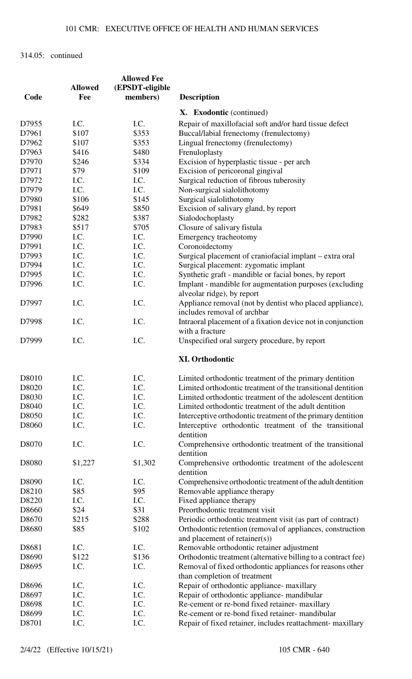|       |                | <b>Allowed Fee</b> |                                                                                           |
|-------|----------------|--------------------|-------------------------------------------------------------------------------------------|
|       | <b>Allowed</b> | (EPSDT-eligible    |                                                                                           |
| Code  | Fee            | members)           | <b>Description</b>                                                                        |
|       |                |                    | X. Exodontic (continued)                                                                  |
| D7955 | I.C.           | I.C.               | Repair of maxillofacial soft and/or hard tissue defect                                    |
| D7961 | \$107          | \$353              | Buccal/labial frenectomy (frenulectomy)                                                   |
| D7962 | \$107          | \$353              | Lingual frenectomy (frenulectomy)                                                         |
| D7963 | \$416          | \$480              | Frenuloplasty                                                                             |
| D7970 | \$246          | \$334              | Excision of hyperplastic tissue - per arch                                                |
| D7971 | \$79           | \$109              | Excision of pericoronal gingival                                                          |
| D7972 | I.C.           | I.C.               | Surgical reduction of fibrous tuberosity                                                  |
| D7979 | I.C.           | I.C.               | Non-surgical sialolithotomy                                                               |
| D7980 | \$106          | \$145              | Surgical sialolithotomy                                                                   |
| D7981 | \$649          | \$850              |                                                                                           |
|       |                |                    | Excision of salivary gland, by report                                                     |
| D7982 | \$282          | \$387              | Sialodochoplasty                                                                          |
| D7983 | \$517          | \$705              | Closure of salivary fistula                                                               |
| D7990 | I.C.           | I.C.               | Emergency tracheotomy                                                                     |
| D7991 | I.C.           | I.C.               | Coronoidectomy                                                                            |
| D7993 | I.C.           | I.C.               | Surgical placement of craniofacial implant – extra oral                                   |
| D7994 | I.C.           | I.C.               | Surgical placement: zygomatic implant                                                     |
| D7995 | I.C.           | I.C.               | Synthetic graft - mandible or facial bones, by report                                     |
| D7996 | I.C.           | I.C.               | Implant - mandible for augmentation purposes (excluding<br>alveolar ridge), by report     |
| D7997 | I.C.           | I.C.               | Appliance removal (not by dentist who placed appliance),<br>includes removal of archbar   |
| D7998 | I.C.           | I.C.               | Intraoral placement of a fixation device not in conjunction<br>with a fracture            |
| D7999 | I.C.           | I.C.               | Unspecified oral surgery procedure, by report                                             |
|       |                |                    | <b>XI. Orthodontic</b>                                                                    |
| D8010 | I.C.           | I.C.               | Limited orthodontic treatment of the primary dentition                                    |
| D8020 | I.C.           | I.C.               | Limited orthodontic treatment of the transitional dentition                               |
| D8030 | I.C.           | I.C.               | Limited orthodontic treatment of the adolescent dentition                                 |
| D8040 | I.C.           | I.C.               | Limited orthodontic treatment of the adult dentition                                      |
| D8050 | I.C.           | I.C.               | Interceptive orthodontic treatment of the primary dentition                               |
| D8060 | I.C.           | I.C.               | Interceptive orthodontic treatment of the transitional<br>dentition                       |
| D8070 | I.C.           | I.C.               | Comprehensive orthodontic treatment of the transitional<br>dentition                      |
| D8080 | \$1,227        | \$1,302            | Comprehensive orthodontic treatment of the adolescent<br>dentition                        |
| D8090 | I.C.           | I.C.               | Comprehensive orthodontic treatment of the adult dentition                                |
| D8210 | \$85           | \$95               | Removable appliance therapy                                                               |
| D8220 | I.C.           | I.C.               | Fixed appliance therapy                                                                   |
| D8660 | \$24           | \$31               | Preorthodontic treatment visit                                                            |
| D8670 | \$215          | \$288              | Periodic orthodontic treatment visit (as part of contract)                                |
| D8680 | \$85           | \$102              | Orthodontic retention (removal of appliances, construction                                |
|       |                |                    | and placement of retainer(s))                                                             |
| D8681 | I.C.           | I.C.               | Removable orthodontic retainer adjustment                                                 |
| D8690 | \$122          | \$136              | Orthodontic treatment (alternative billing to a contract fee)                             |
| D8695 | I.C.           | I.C.               | Removal of fixed orthodontic appliances for reasons other<br>than completion of treatment |
| D8696 | I.C.           | I.C.               | Repair of orthodontic appliance- maxillary                                                |
| D8697 | I.C.           | I.C.               | Repair of orthodontic appliance- mandibular                                               |
| D8698 | I.C.           | I.C.               | Re-cement or re-bond fixed retainer- maxillary                                            |
| D8699 | I.C.           | I.C.               | Re-cement or re-bond fixed retainer- mandibular                                           |
| D8701 | I.C.           | I.C.               | Repair of fixed retainer, includes reattachment- maxillary                                |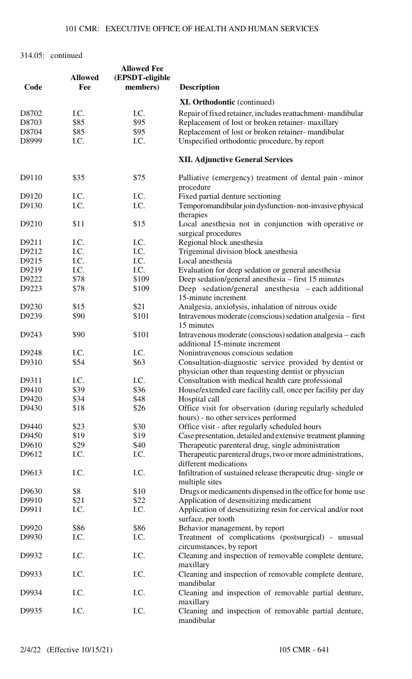| Code  | <b>Allowed</b><br>Fee | <b>Allowed Fee</b><br>(EPSDT-eligible<br>members) | <b>Description</b>                                                                                             |
|-------|-----------------------|---------------------------------------------------|----------------------------------------------------------------------------------------------------------------|
|       |                       |                                                   | <b>XI. Orthodontic</b> (continued)                                                                             |
| D8702 | I.C.                  | I.C.                                              | Repair of fixed retainer, includes reattachment-mandibular                                                     |
| D8703 | \$85                  | \$95                                              | Replacement of lost or broken retainer- maxillary                                                              |
| D8704 | \$85                  | \$95                                              |                                                                                                                |
|       |                       |                                                   | Replacement of lost or broken retainer- mandibular                                                             |
| D8999 | I.C.                  | I.C.                                              | Unspecified orthodontic procedure, by report                                                                   |
|       |                       |                                                   | <b>XII. Adjunctive General Services</b>                                                                        |
| D9110 | \$35                  | \$75                                              | Palliative (emergency) treatment of dental pain - minor<br>procedure                                           |
| D9120 | I.C.                  | I.C.                                              | Fixed partial denture sectioning                                                                               |
| D9130 | I.C.                  | I.C.                                              | Temporomandibular join dysfunction-non-invasive physical<br>therapies                                          |
| D9210 | \$11                  | \$15                                              | Local anesthesia not in conjunction with operative or<br>surgical procedures                                   |
| D9211 | I.C.                  | I.C.                                              | Regional block anesthesia                                                                                      |
| D9212 | I.C.                  | I.C.                                              | Trigeminal division block anesthesia                                                                           |
| D9215 | I.C.                  | I.C.                                              | Local anesthesia                                                                                               |
| D9219 | I.C.                  | I.C.                                              | Evaluation for deep sedation or general anesthesia                                                             |
| D9222 | \$78                  | \$109                                             | Deep sedation/general anesthesia – first 15 minutes                                                            |
| D9223 | \$78                  | \$109                                             |                                                                                                                |
|       |                       |                                                   | Deep sedation/general anesthesia – each additional<br>15-minute increment                                      |
| D9230 | \$15                  | \$21                                              | Analgesia, anxiolysis, inhalation of nitrous oxide                                                             |
| D9239 | \$90                  | \$101                                             | Intravenous moderate (conscious) sedation analgesia - first<br>15 minutes                                      |
| D9243 | \$90                  | \$101                                             | Intravenous moderate (conscious) sedation analgesia – each<br>additional 15-minute increment                   |
| D9248 | I.C.                  | I.C.                                              | Nonintravenous conscious sedation                                                                              |
| D9310 | \$54                  | \$63                                              | Consultation-diagnostic service provided by dentist or<br>physician other than requesting dentist or physician |
| D9311 | I.C.                  | I.C.                                              | Consultation with medical health care professional                                                             |
| D9410 | \$39                  | \$36                                              | House/extended care facility call, once per facility per day                                                   |
| D9420 | \$34                  | \$48                                              | Hospital call                                                                                                  |
| D9430 | \$18                  | \$26                                              | Office visit for observation (during regularly scheduled                                                       |
|       |                       |                                                   | hours) - no other services performed                                                                           |
| D9440 | \$23                  | \$30                                              | Office visit - after regularly scheduled hours                                                                 |
| D9450 | \$19                  | \$19                                              | Case presentation, detailed and extensive treatment planning                                                   |
| D9610 | \$29                  | \$40                                              | Therapeutic parenteral drug, single administration                                                             |
| D9612 | I.C.                  | I.C.                                              | Therapeutic parenteral drugs, two or more administrations,<br>different medications                            |
| D9613 | I.C.                  | I.C.                                              | Infiltration of sustained release therapeutic drug-single or<br>multiple sites                                 |
| D9630 | \$8                   | \$10                                              | Drugs or medicaments dispensed in the office for home use                                                      |
| D9910 | \$21                  | \$22                                              | Application of desensitizing medicament                                                                        |
| D9911 | I.C.                  | I.C.                                              | Application of desensitizing resin for cervical and/or root                                                    |
| D9920 | \$86                  | \$86                                              | surface, per tooth<br>Behavior management, by report                                                           |
|       |                       |                                                   |                                                                                                                |
| D9930 | I.C.                  | I.C.                                              | Treatment of complications (postsurgical) - unusual<br>circumstances, by report                                |
| D9932 | I.C.                  | I.C.                                              | Cleaning and inspection of removable complete denture,<br>maxillary                                            |
| D9933 | I.C.                  | I.C.                                              | Cleaning and inspection of removable complete denture,<br>mandibular                                           |
| D9934 | I.C.                  | I.C.                                              | Cleaning and inspection of removable partial denture,<br>maxillary                                             |
| D9935 | I.C.                  | I.C.                                              | Cleaning and inspection of removable partial denture,<br>mandibular                                            |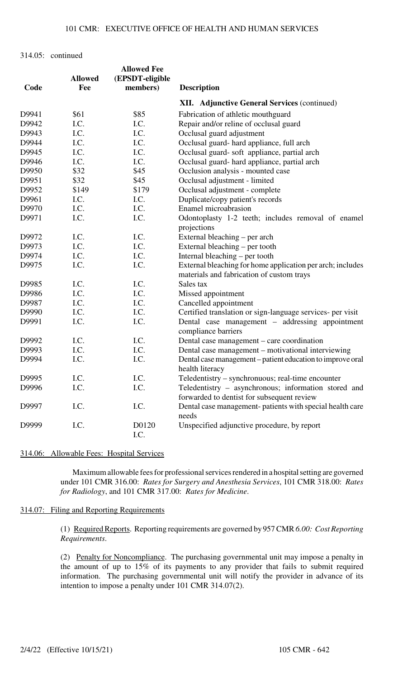| Code  | <b>Allowed</b><br>Fee | <b>Allowed Fee</b><br>(EPSDT-eligible<br>members) | <b>Description</b>                                                                                      |
|-------|-----------------------|---------------------------------------------------|---------------------------------------------------------------------------------------------------------|
|       |                       |                                                   | <b>XII.</b> Adjunctive General Services (continued)                                                     |
| D9941 | \$61                  | \$85                                              | Fabrication of athletic mouthguard                                                                      |
| D9942 | I.C.                  | I.C.                                              | Repair and/or reline of occlusal guard                                                                  |
| D9943 | I.C.                  | I.C.                                              | Occlusal guard adjustment                                                                               |
| D9944 | I.C.                  | I.C.                                              | Occlusal guard- hard appliance, full arch                                                               |
| D9945 | I.C.                  | I.C.                                              | Occlusal guard- soft appliance, partial arch                                                            |
| D9946 | I.C.                  | I.C.                                              | Occlusal guard- hard appliance, partial arch                                                            |
| D9950 | \$32                  | \$45                                              | Occlusion analysis - mounted case                                                                       |
| D9951 | \$32                  | \$45                                              | Occlusal adjustment - limited                                                                           |
| D9952 | \$149                 | \$179                                             | Occlusal adjustment - complete                                                                          |
| D9961 | I.C.                  | I.C.                                              | Duplicate/copy patient's records                                                                        |
| D9970 | I.C.                  | I.C.                                              | Enamel microabrasion                                                                                    |
| D9971 | I.C.                  | I.C.                                              | Odontoplasty 1-2 teeth; includes removal of enamel                                                      |
|       |                       |                                                   | projections                                                                                             |
| D9972 | I.C.                  | I.C.                                              | External bleaching – per arch                                                                           |
| D9973 | I.C.                  | I.C.                                              | External bleaching – per tooth                                                                          |
| D9974 | I.C.                  | I.C.                                              | Internal bleaching – per tooth                                                                          |
| D9975 | I.C.                  | I.C.                                              | External bleaching for home application per arch; includes<br>materials and fabrication of custom trays |
| D9985 | I.C.                  | I.C.                                              | Sales tax                                                                                               |
| D9986 | I.C.                  | I.C.                                              | Missed appointment                                                                                      |
| D9987 | I.C.                  | I.C.                                              | Cancelled appointment                                                                                   |
| D9990 | I.C.                  | I.C.                                              | Certified translation or sign-language services- per visit                                              |
| D9991 | I.C.                  | I.C.                                              | Dental case management - addressing appointment<br>compliance barriers                                  |
| D9992 | I.C.                  | I.C.                                              | Dental case management – care coordination                                                              |
| D9993 | I.C.                  | I.C.                                              | Dental case management – motivational interviewing                                                      |
| D9994 | I.C.                  | I.C.                                              | Dental case management – patient education to improve oral<br>health literacy                           |
| D9995 | I.C.                  | I.C.                                              | Teledentistry – synchronuous; real-time encounter                                                       |
| D9996 | I.C.                  | I.C.                                              | Teledentistry - asynchronous; information stored and                                                    |
|       |                       |                                                   | forwarded to dentist for subsequent review                                                              |
| D9997 | I.C.                  | I.C.                                              | Dental case management- patients with special health care<br>needs                                      |
| D9999 | I.C.                  | D0120<br>I.C.                                     | Unspecified adjunctive procedure, by report                                                             |

314.06: Allowable Fees: Hospital Services

Maximum allowable fees for professional services rendered in a hospital setting are governed under 101 CMR 316.00: *Rates for Surgery and Anesthesia Services*, 101 CMR 318.00: *Rates for Radiology*, and 101 CMR 317.00: *Rates for Medicine*.

314.07: Filing and Reporting Requirements

(1) Required Reports. Reporting requirements are governed by 957 CMR *6.00: Cost Reporting Requirements*.

(2) Penalty for Noncompliance. The purchasing governmental unit may impose a penalty in the amount of up to 15% of its payments to any provider that fails to submit required information. The purchasing governmental unit will notify the provider in advance of its intention to impose a penalty under 101 CMR 314.07(2).